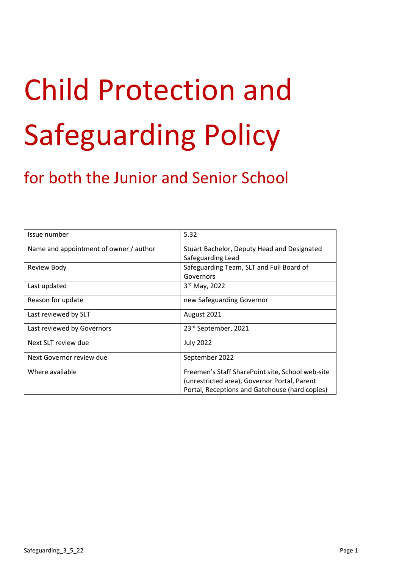# Child Protection and Safeguarding Policy

# for both the Junior and Senior School

| Issue number                           | 5.32                                             |
|----------------------------------------|--------------------------------------------------|
| Name and appointment of owner / author | Stuart Bachelor, Deputy Head and Designated      |
|                                        | Safeguarding Lead                                |
| <b>Review Body</b>                     | Safeguarding Team, SLT and Full Board of         |
|                                        | Governors                                        |
| Last updated                           | 3rd May, 2022                                    |
| Reason for update                      | new Safeguarding Governor                        |
| Last reviewed by SLT                   | August 2021                                      |
| Last reviewed by Governors             | 23rd September, 2021                             |
| Next SLT review due                    | <b>July 2022</b>                                 |
| Next Governor review due               | September 2022                                   |
| Where available                        | Freemen's Staff SharePoint site, School web-site |
|                                        | (unrestricted area), Governor Portal, Parent     |
|                                        | Portal, Receptions and Gatehouse (hard copies)   |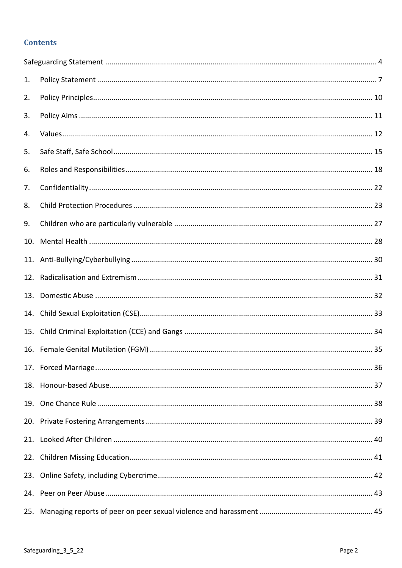# **Contents**

| 1.  |  |
|-----|--|
| 2.  |  |
| 3.  |  |
| 4.  |  |
| 5.  |  |
| 6.  |  |
| 7.  |  |
| 8.  |  |
| 9.  |  |
| 10. |  |
| 11. |  |
| 12. |  |
| 13. |  |
| 14. |  |
| 15. |  |
|     |  |
|     |  |
|     |  |
|     |  |
|     |  |
|     |  |
|     |  |
|     |  |
|     |  |
| 25. |  |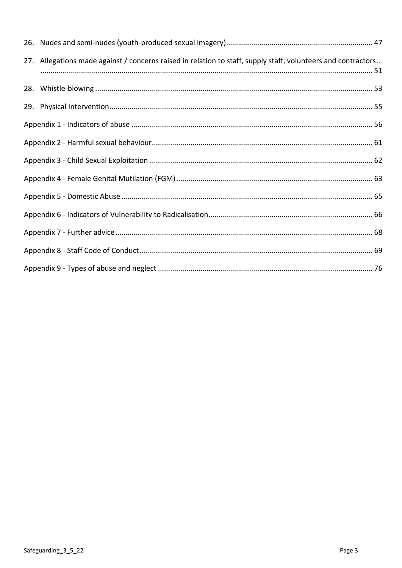| 27. Allegations made against / concerns raised in relation to staff, supply staff, volunteers and contractors |  |
|---------------------------------------------------------------------------------------------------------------|--|
|                                                                                                               |  |
|                                                                                                               |  |
|                                                                                                               |  |
|                                                                                                               |  |
|                                                                                                               |  |
|                                                                                                               |  |
|                                                                                                               |  |
|                                                                                                               |  |
|                                                                                                               |  |
|                                                                                                               |  |
|                                                                                                               |  |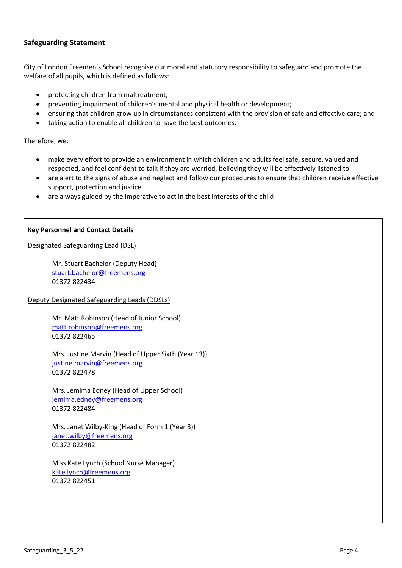# <span id="page-3-0"></span>**Safeguarding Statement**

City of London Freemen's School recognise our moral and statutory responsibility to safeguard and promote the welfare of all pupils, which is defined as follows:

- protecting children from maltreatment;
- preventing impairment of children's mental and physical health or development;
- ensuring that children grow up in circumstances consistent with the provision of safe and effective care; and
- taking action to enable all children to have the best outcomes.

Therefore, we:

- make every effort to provide an environment in which children and adults feel safe, secure, valued and respected, and feel confident to talk if they are worried, believing they will be effectively listened to.
- are alert to the signs of abuse and neglect and follow our procedures to ensure that children receive effective support, protection and justice
- are always guided by the imperative to act in the best interests of the child

#### **Key Personnel and Contact Details**

Designated Safeguarding Lead (DSL)

Mr. Stuart Bachelor (Deputy Head) [stuart.bachelor@freemens.org](mailto:stuart.bachelor@freemens.org) 01372 822434

Deputy Designated Safeguarding Leads (DDSLs)

Mr. Matt Robinson (Head of Junior School) [matt.robinson@freemens.org](mailto:matt.robinson@freemens.org) 01372 822465

Mrs. Justine Marvin (Head of Upper Sixth (Year 13)) [justine.marvin@freemens.org](mailto:justine.marvin@freemens.org) 01372 822478

Mrs. Jemima Edney (Head of Upper School) [jemima.edney@freemens.org](mailto:jemima.edney@freemens.org) 01372 822484

Mrs. Janet Wilby-King (Head of Form 1 (Year 3)) [janet.wilby@freemens.org](mailto:janet.wilby@freemens.org) 01372 822482

Miss Kate Lynch (School Nurse Manager) [kate.lynch@freemens.org](mailto:kate.lynch@freemens.org) 01372 822451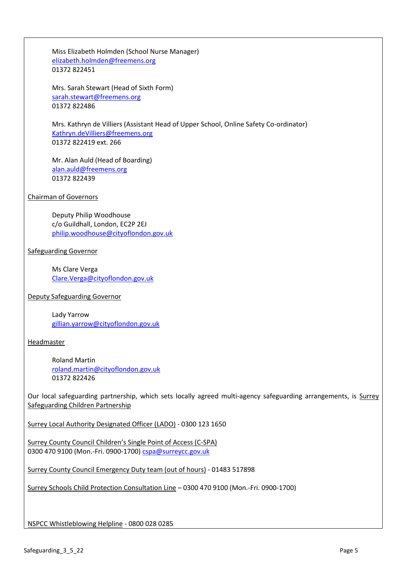Miss Elizabeth Holmden (School Nurse Manager) [elizabeth.holmden@freemens.org](mailto:elizabeth.holmden@freemens.org) 01372 822451

Mrs. Sarah Stewart (Head of Sixth Form) [sarah.stewart@freemens.org](mailto:sarah.stewart@freemens.org) 01372 822486

Mrs. Kathryn de Villiers (Assistant Head of Upper School, Online Safety Co-ordinator) [Kathryn.deVilliers@freemens.org](mailto:Kathryn.deVilliers@freemens.org) 01372 822419 ext. 266

Mr. Alan Auld (Head of Boarding) [alan.auld@freemens.org](mailto:alan.auld@freemens.org) 01372 822439

Chairman of Governors

Deputy Philip Woodhouse c/o Guildhall, London, EC2P 2EJ [philip.woodhouse@cityoflondon.gov.uk](mailto:philip.woodhouse@cityoflondon.gov.uk)

Safeguarding Governor

Ms Clare Verga [Clare.Verga@cityoflondon.gov.uk](mailto:Clare.Verga@cityoflondon.gov.uk)

Deputy Safeguarding Governor

Lady Yarrow [gillian.yarrow@cityoflondon.gov.uk](mailto:gillian.yarrow@cityoflondon.gov.uk)

Headmaster

Roland Martin [roland.martin@cityoflondon.gov.uk](mailto:roland.martin@cityoflondon.gov.uk) 01372 822426

Our local safeguarding partnership, which sets locally agreed multi-agency safeguarding arrangements, is Surrey Safeguarding Children Partnership

Surrey Local Authority Designated Officer (LADO) - 0300 123 1650

Surrey County Council Children's Single Point of Access (C-SPA) 0300 470 9100 (Mon.-Fri. 0900-1700) [cspa@surreycc.gov.uk](mailto:cspa@surreycc.gov.uk)

Surrey County Council Emergency Duty team (out of hours) - 01483 517898

Surrey Schools Child Protection Consultation Line – 0300 470 9100 (Mon.-Fri. 0900-1700)

NSPCC Whistleblowing Helpline - 0800 028 0285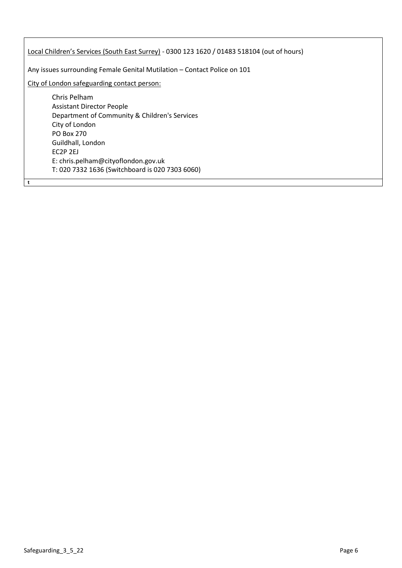Local Children's Services (South East Surrey) - 0300 123 1620 / 01483 518104 (out of hours) Any issues surrounding Female Genital Mutilation – Contact Police on 101 City of London safeguarding contact person: Chris Pelham Assistant Director People Department of Community & Children's Services City of London PO Box 270 Guildhall, London EC2P 2EJ E: chris.pelham@cityoflondon.gov.uk T: 020 7332 1636 (Switchboard is 020 7303 6060)

**t**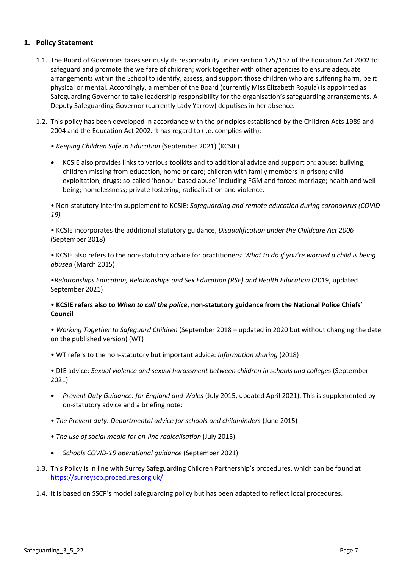# <span id="page-6-0"></span>**1. Policy Statement**

- 1.1. The Board of Governors takes seriously its responsibility under section 175/157 of the Education Act 2002 to: safeguard and promote the welfare of children; work together with other agencies to ensure adequate arrangements within the School to identify, assess, and support those children who are suffering harm, be it physical or mental. Accordingly, a member of the Board (currently Miss Elizabeth Rogula) is appointed as Safeguarding Governor to take leadership responsibility for the organisation's safeguarding arrangements. A Deputy Safeguarding Governor (currently Lady Yarrow) deputises in her absence.
- 1.2. This policy has been developed in accordance with the principles established by the Children Acts 1989 and 2004 and the Education Act 2002. It has regard to (i.e. complies with):
	- *Keeping Children Safe in Education* (September 2021) (KCSIE)
	- KCSIE also provides links to various toolkits and to additional advice and support on: abuse; bullying; children missing from education, home or care; children with family members in prison; child exploitation; drugs; so-called 'honour-based abuse' including FGM and forced marriage; health and wellbeing; homelessness; private fostering; radicalisation and violence.

• Non-statutory interim supplement to KCSIE: *Safeguarding and remote education during coronavirus (COVID-19)*

• KCSIE incorporates the additional statutory guidance, *Disqualification under the Childcare Act 2006* (September 2018)

• KCSIE also refers to the non-statutory advice for practitioners: *What to do if you're worried a child is being abused* (March 2015)

•*Relationships Education, Relationships and Sex Education (RSE) and Health Education* (2019, updated September 2021)

#### • **KCSIE refers also to** *When to call the police***, non-statutory guidance from the National Police Chiefs' Council**

• *Working Together to Safeguard Children* (September 2018 – updated in 2020 but without changing the date on the published version) (WT)

• WT refers to the non-statutory but important advice: *Information sharing* (2018)

• DfE advice: *Sexual violence and sexual harassment between children in schools and colleges* (September 2021)

- *Prevent Duty Guidance: for England and Wales* (July 2015, updated April 2021). This is supplemented by on-statutory advice and a briefing note:
- *The Prevent duty: Departmental advice for schools and childminders* (June 2015)
- *The use of social media for on-line radicalisation* (July 2015)
- *Schools COVID-19 operational guidance* (September 2021)
- 1.3. This Policy is in line with Surrey Safeguarding Children Partnership's procedures, which can be found at <https://surreyscb.procedures.org.uk/>
- 1.4. It is based on SSCP's model safeguarding policy but has been adapted to reflect local procedures.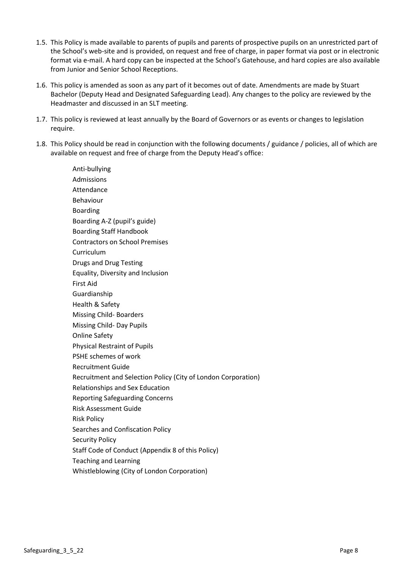- 1.5. This Policy is made available to parents of pupils and parents of prospective pupils on an unrestricted part of the School's web-site and is provided, on request and free of charge, in paper format via post or in electronic format via e-mail. A hard copy can be inspected at the School's Gatehouse, and hard copies are also available from Junior and Senior School Receptions.
- 1.6. This policy is amended as soon as any part of it becomes out of date. Amendments are made by Stuart Bachelor (Deputy Head and Designated Safeguarding Lead). Any changes to the policy are reviewed by the Headmaster and discussed in an SLT meeting.
- 1.7. This policy is reviewed at least annually by the Board of Governors or as events or changes to legislation require.
- 1.8. This Policy should be read in conjunction with the following documents / guidance / policies, all of which are available on request and free of charge from the Deputy Head's office:

Anti-bullying Admissions Attendance Behaviour Boarding Boarding A-Z (pupil's guide) Boarding Staff Handbook Contractors on School Premises Curriculum Drugs and Drug Testing Equality, Diversity and Inclusion First Aid Guardianship Health & Safety Missing Child- Boarders Missing Child- Day Pupils Online Safety Physical Restraint of Pupils PSHE schemes of work Recruitment Guide Recruitment and Selection Policy (City of London Corporation) Relationships and Sex Education Reporting Safeguarding Concerns Risk Assessment Guide Risk Policy Searches and Confiscation Policy Security Policy Staff Code of Conduct (Appendix 8 of this Policy) Teaching and Learning Whistleblowing (City of London Corporation)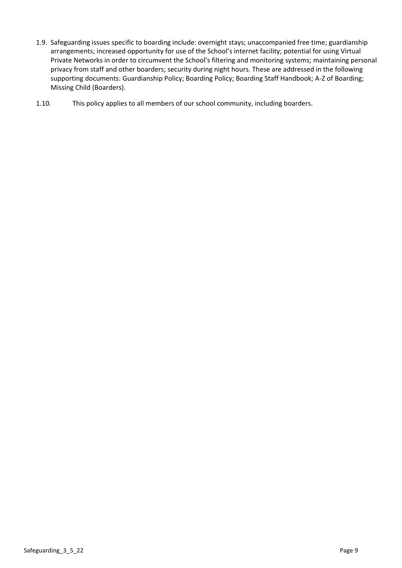- 1.9. Safeguarding issues specific to boarding include: overnight stays; unaccompanied free time; guardianship arrangements; increased opportunity for use of the School's internet facility; potential for using Virtual Private Networks in order to circumvent the School's filtering and monitoring systems; maintaining personal privacy from staff and other boarders; security during night hours. These are addressed in the following supporting documents: Guardianship Policy; Boarding Policy; Boarding Staff Handbook; A-Z of Boarding; Missing Child (Boarders).
- 1.10. This policy applies to all members of our school community, including boarders.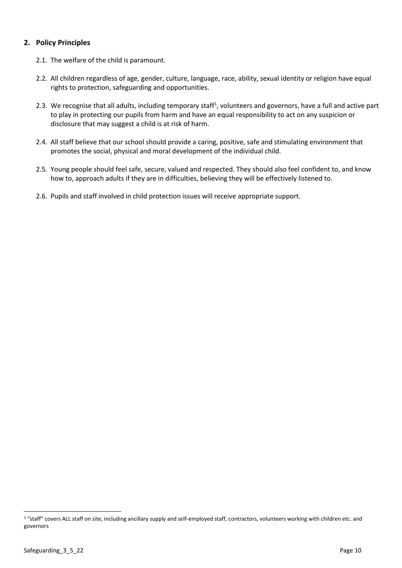# <span id="page-9-0"></span>**2. Policy Principles**

- 2.1. The welfare of the child is paramount.
- 2.2. All children regardless of age, gender, culture, language, race, ability, sexual identity or religion have equal rights to protection, safeguarding and opportunities.
- 2.3. We recognise that all adults, including temporary staff<sup>1</sup>, volunteers and governors, have a full and active part to play in protecting our pupils from harm and have an equal responsibility to act on any suspicion or disclosure that may suggest a child is at risk of harm.
- 2.4. All staff believe that our school should provide a caring, positive, safe and stimulating environment that promotes the social, physical and moral development of the individual child.
- 2.5. Young people should feel safe, secure, valued and respected. They should also feel confident to, and know how to, approach adults if they are in difficulties, believing they will be effectively listened to.
- 2.6. Pupils and staff involved in child protection issues will receive appropriate support.

<sup>1 &</sup>quot;staff" covers ALL staff on site, including ancillary supply and self-employed staff, contractors, volunteers working with children etc. and governors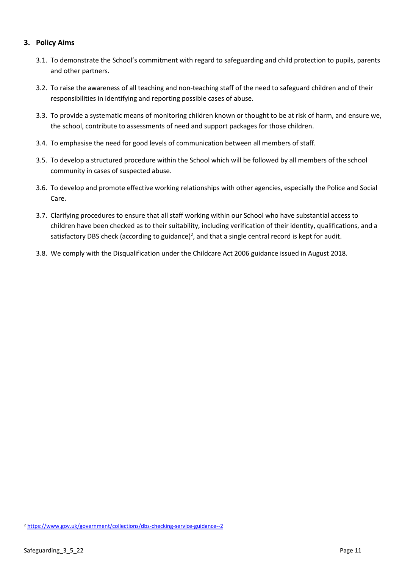# <span id="page-10-0"></span>**3. Policy Aims**

- 3.1. To demonstrate the School's commitment with regard to safeguarding and child protection to pupils, parents and other partners.
- 3.2. To raise the awareness of all teaching and non-teaching staff of the need to safeguard children and of their responsibilities in identifying and reporting possible cases of abuse.
- 3.3. To provide a systematic means of monitoring children known or thought to be at risk of harm, and ensure we, the school, contribute to assessments of need and support packages for those children.
- 3.4. To emphasise the need for good levels of communication between all members of staff.
- 3.5. To develop a structured procedure within the School which will be followed by all members of the school community in cases of suspected abuse.
- 3.6. To develop and promote effective working relationships with other agencies, especially the Police and Social Care.
- 3.7. Clarifying procedures to ensure that all staff working within our School who have substantial access to children have been checked as to their suitability, including verification of their identity, qualifications, and a satisfactory DBS check (according to guidance)<sup>2</sup>, and that a single central record is kept for audit.
- 3.8. We comply with the Disqualification under the Childcare Act 2006 guidance issued in August 2018.

<sup>2</sup> <https://www.gov.uk/government/collections/dbs-checking-service-guidance--2>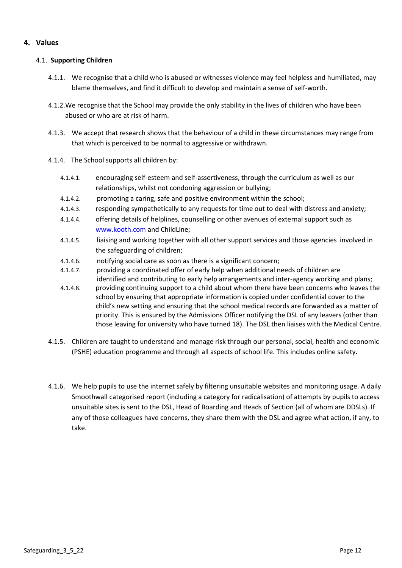# <span id="page-11-0"></span>**4. Values**

#### 4.1. **Supporting Children**

- 4.1.1. We recognise that a child who is abused or witnesses violence may feel helpless and humiliated, may blame themselves, and find it difficult to develop and maintain a sense of self-worth.
- 4.1.2.We recognise that the School may provide the only stability in the lives of children who have been abused or who are at risk of harm.
- 4.1.3. We accept that research shows that the behaviour of a child in these circumstances may range from that which is perceived to be normal to aggressive or withdrawn.
- 4.1.4. The School supports all children by:
	- 4.1.4.1. encouraging self-esteem and self-assertiveness, through the curriculum as well as our relationships, whilst not condoning aggression or bullying;
	- 4.1.4.2. promoting a caring, safe and positive environment within the school;
	- 4.1.4.3. responding sympathetically to any requests for time out to deal with distress and anxiety;
	- 4.1.4.4. offering details of helplines, counselling or other avenues of external support such as [www.kooth.com](http://www.kooth.com/) and ChildLine;
	- 4.1.4.5. liaising and working together with all other support services and those agencies involved in the safeguarding of children;
	- 4.1.4.6. notifying social care as soon as there is a significant concern;
	- 4.1.4.7. providing a coordinated offer of early help when additional needs of children are identified and contributing to early help arrangements and inter-agency working and plans;
	- 4.1.4.8. providing continuing support to a child about whom there have been concerns who leaves the school by ensuring that appropriate information is copied under confidential cover to the child's new setting and ensuring that the school medical records are forwarded as a matter of priority. This is ensured by the Admissions Officer notifying the DSL of any leavers (other than those leaving for university who have turned 18). The DSL then liaises with the Medical Centre.
- 4.1.5. Children are taught to understand and manage risk through our personal, social, health and economic (PSHE) education programme and through all aspects of school life. This includes online safety.
- 4.1.6. We help pupils to use the internet safely by filtering unsuitable websites and monitoring usage. A daily Smoothwall categorised report (including a category for radicalisation) of attempts by pupils to access unsuitable sites is sent to the DSL, Head of Boarding and Heads of Section (all of whom are DDSLs). If any of those colleagues have concerns, they share them with the DSL and agree what action, if any, to take.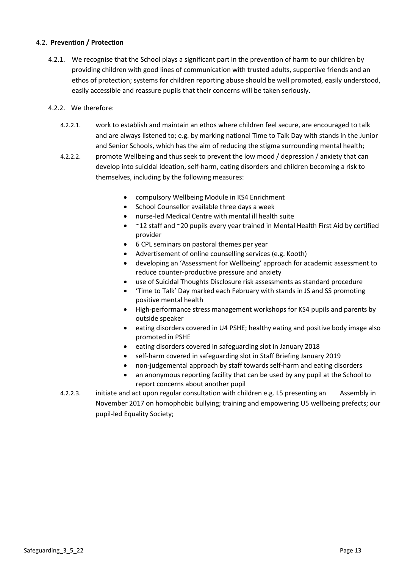#### 4.2. **Prevention / Protection**

4.2.1. We recognise that the School plays a significant part in the prevention of harm to our children by providing children with good lines of communication with trusted adults, supportive friends and an ethos of protection; systems for children reporting abuse should be well promoted, easily understood, easily accessible and reassure pupils that their concerns will be taken seriously.

#### 4.2.2. We therefore:

- 4.2.2.1. work to establish and maintain an ethos where children feel secure, are encouraged to talk and are always listened to; e.g. by marking national Time to Talk Day with stands in the Junior and Senior Schools, which has the aim of reducing the stigma surrounding mental health;
- 4.2.2.2. promote Wellbeing and thus seek to prevent the low mood / depression / anxiety that can develop into suicidal ideation, self-harm, eating disorders and children becoming a risk to themselves, including by the following measures:
	- compulsory Wellbeing Module in KS4 Enrichment
	- School Counsellor available three days a week
	- nurse-led Medical Centre with mental ill health suite
	- ~12 staff and ~20 pupils every year trained in Mental Health First Aid by certified provider
	- 6 CPL seminars on pastoral themes per year
	- Advertisement of online counselling services (e.g. Kooth)
	- developing an 'Assessment for Wellbeing' approach for academic assessment to reduce counter-productive pressure and anxiety
	- use of Suicidal Thoughts Disclosure risk assessments as standard procedure
	- 'Time to Talk' Day marked each February with stands in JS and SS promoting positive mental health
	- High-performance stress management workshops for KS4 pupils and parents by outside speaker
	- eating disorders covered in U4 PSHE; healthy eating and positive body image also promoted in PSHE
	- eating disorders covered in safeguarding slot in January 2018
	- self-harm covered in safeguarding slot in Staff Briefing January 2019
	- non-judgemental approach by staff towards self-harm and eating disorders
	- an anonymous reporting facility that can be used by any pupil at the School to report concerns about another pupil
- 4.2.2.3. initiate and act upon regular consultation with children e.g. L5 presenting an Assembly in November 2017 on homophobic bullying; training and empowering U5 wellbeing prefects; our pupil-led Equality Society;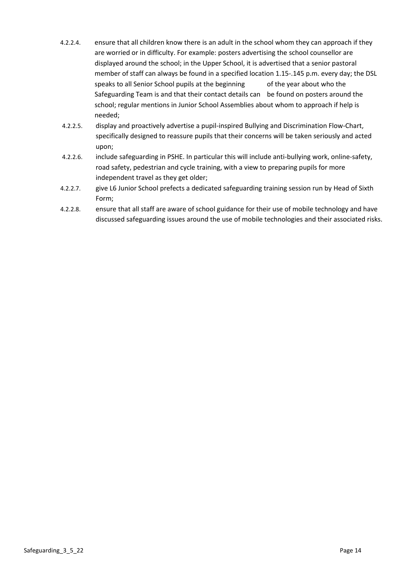- 4.2.2.4. ensure that all children know there is an adult in the school whom they can approach if they are worried or in difficulty. For example: posters advertising the school counsellor are displayed around the school; in the Upper School, it is advertised that a senior pastoral member of staff can always be found in a specified location 1.15-.145 p.m. every day; the DSL speaks to all Senior School pupils at the beginning of the year about who the Safeguarding Team is and that their contact details can be found on posters around the school; regular mentions in Junior School Assemblies about whom to approach if help is needed;
- 4.2.2.5. display and proactively advertise a pupil-inspired Bullying and Discrimination Flow-Chart, specifically designed to reassure pupils that their concerns will be taken seriously and acted upon;
- 4.2.2.6. include safeguarding in PSHE. In particular this will include anti-bullying work, online-safety, road safety, pedestrian and cycle training, with a view to preparing pupils for more independent travel as they get older;
- 4.2.2.7. give L6 Junior School prefects a dedicated safeguarding training session run by Head of Sixth Form;
- 4.2.2.8. ensure that all staff are aware of school guidance for their use of mobile technology and have discussed safeguarding issues around the use of mobile technologies and their associated risks.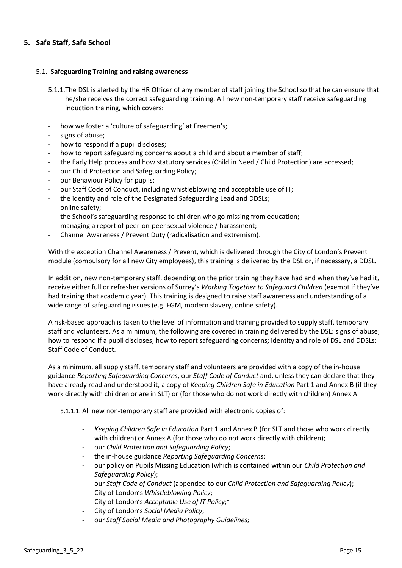# <span id="page-14-0"></span>**5. Safe Staff, Safe School**

#### 5.1. **Safeguarding Training and raising awareness**

- 5.1.1.The DSL is alerted by the HR Officer of any member of staff joining the School so that he can ensure that he/she receives the correct safeguarding training. All new non-temporary staff receive safeguarding induction training, which covers:
- how we foster a 'culture of safeguarding' at Freemen's;
- signs of abuse;
- how to respond if a pupil discloses;
- how to report safeguarding concerns about a child and about a member of staff;
- the Early Help process and how statutory services (Child in Need / Child Protection) are accessed;
- our Child Protection and Safeguarding Policy;
- our Behaviour Policy for pupils;
- our Staff Code of Conduct, including whistleblowing and acceptable use of IT;
- the identity and role of the Designated Safeguarding Lead and DDSLs;
- online safety;
- the School's safeguarding response to children who go missing from education;
- managing a report of peer-on-peer sexual violence / harassment;
- Channel Awareness / Prevent Duty (radicalisation and extremism).

With the exception Channel Awareness / Prevent, which is delivered through the City of London's Prevent module (compulsory for all new City employees), this training is delivered by the DSL or, if necessary, a DDSL.

In addition, new non-temporary staff, depending on the prior training they have had and when they've had it, receive either full or refresher versions of Surrey's *Working Together to Safeguard Children* (exempt if they've had training that academic year). This training is designed to raise staff awareness and understanding of a wide range of safeguarding issues (e.g. FGM, modern slavery, online safety).

A risk-based approach is taken to the level of information and training provided to supply staff, temporary staff and volunteers. As a minimum, the following are covered in training delivered by the DSL: signs of abuse; how to respond if a pupil discloses; how to report safeguarding concerns; identity and role of DSL and DDSLs; Staff Code of Conduct.

As a minimum, all supply staff, temporary staff and volunteers are provided with a copy of the in-house guidance *Reporting Safeguarding Concerns*, our *Staff Code of Conduct* and, unless they can declare that they have already read and understood it, a copy of *Keeping Children Safe in Education* Part 1 and Annex B (if they work directly with children or are in SLT) or (for those who do not work directly with children) Annex A.

5.1.1.1. All new non-temporary staff are provided with electronic copies of:

- *Keeping Children Safe in Education* Part 1 and Annex B (for SLT and those who work directly with children) or Annex A (for those who do not work directly with children);
- our *Child Protection and Safeguarding Policy*;
- the in-house guidance *Reporting Safeguarding Concerns*;
- our policy on Pupils Missing Education (which is contained within our *Child Protection and Safeguarding Policy*);
- our *Staff Code of Conduct* (appended to our *Child Protection and Safeguarding Policy*);
- City of London's *Whistleblowing Policy*;
- City of London's *Acceptable Use of IT Policy*;~
- City of London's *Social Media Policy*;
- our *Staff Social Media and Photography Guidelines;*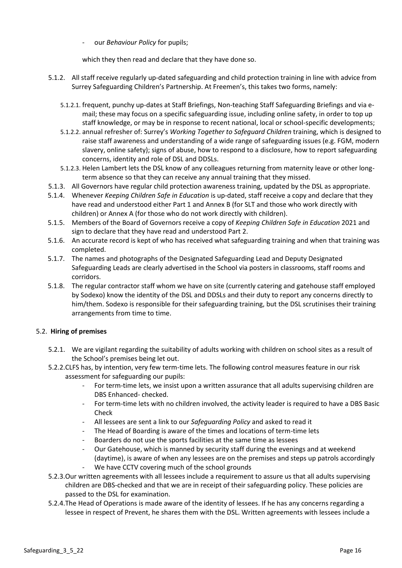- our *Behaviour Policy* for pupils;

which they then read and declare that they have done so.

- 5.1.2. All staff receive regularly up-dated safeguarding and child protection training in line with advice from Surrey Safeguarding Children's Partnership. At Freemen's, this takes two forms, namely:
	- 5.1.2.1. frequent, punchy up-dates at Staff Briefings, Non-teaching Staff Safeguarding Briefings and via email; these may focus on a specific safeguarding issue, including online safety, in order to top up staff knowledge, or may be in response to recent national, local or school-specific developments;
	- 5.1.2.2. annual refresher of: Surrey's *Working Together to Safeguard Children* training, which is designed to raise staff awareness and understanding of a wide range of safeguarding issues (e.g. FGM, modern slavery, online safety); signs of abuse, how to respond to a disclosure, how to report safeguarding concerns, identity and role of DSL and DDSLs.
	- 5.1.2.3. Helen Lambert lets the DSL know of any colleagues returning from maternity leave or other longterm absence so that they can receive any annual training that they missed.
- 5.1.3. All Governors have regular child protection awareness training, updated by the DSL as appropriate.
- 5.1.4. Whenever *Keeping Children Safe in Education* is up-dated, staff receive a copy and declare that they have read and understood either Part 1 and Annex B (for SLT and those who work directly with children) or Annex A (for those who do not work directly with children).
- 5.1.5. Members of the Board of Governors receive a copy of *Keeping Children Safe in Education* 2021 and sign to declare that they have read and understood Part 2.
- 5.1.6. An accurate record is kept of who has received what safeguarding training and when that training was completed.
- 5.1.7. The names and photographs of the Designated Safeguarding Lead and Deputy Designated Safeguarding Leads are clearly advertised in the School via posters in classrooms, staff rooms and corridors.
- 5.1.8. The regular contractor staff whom we have on site (currently catering and gatehouse staff employed by Sodexo) know the identity of the DSL and DDSLs and their duty to report any concerns directly to him/them. Sodexo is responsible for their safeguarding training, but the DSL scrutinises their training arrangements from time to time.

#### 5.2. **Hiring of premises**

- 5.2.1. We are vigilant regarding the suitability of adults working with children on school sites as a result of the School's premises being let out.
- 5.2.2.CLFS has, by intention, very few term-time lets. The following control measures feature in our risk assessment for safeguarding our pupils:
	- For term-time lets, we insist upon a written assurance that all adults supervising children are DBS Enhanced- checked.
	- For term-time lets with no children involved, the activity leader is required to have a DBS Basic Check
	- All lessees are sent a link to our *Safeguarding Policy* and asked to read it
	- The Head of Boarding is aware of the times and locations of term-time lets
	- Boarders do not use the sports facilities at the same time as lessees
	- Our Gatehouse, which is manned by security staff during the evenings and at weekend (daytime), is aware of when any lessees are on the premises and steps up patrols accordingly
	- We have CCTV covering much of the school grounds
- 5.2.3.Our written agreements with all lessees include a requirement to assure us that all adults supervising children are DBS-checked and that we are in receipt of their safeguarding policy. These policies are passed to the DSL for examination.
- 5.2.4.The Head of Operations is made aware of the identity of lessees. If he has any concerns regarding a lessee in respect of Prevent, he shares them with the DSL. Written agreements with lessees include a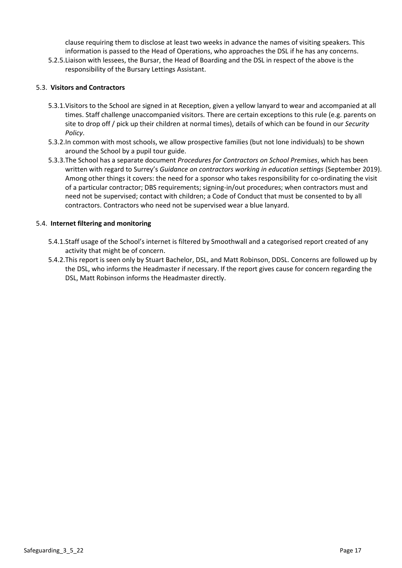clause requiring them to disclose at least two weeks in advance the names of visiting speakers. This information is passed to the Head of Operations, who approaches the DSL if he has any concerns.

5.2.5.Liaison with lessees, the Bursar, the Head of Boarding and the DSL in respect of the above is the responsibility of the Bursary Lettings Assistant.

#### 5.3. **Visitors and Contractors**

- 5.3.1.Visitors to the School are signed in at Reception, given a yellow lanyard to wear and accompanied at all times. Staff challenge unaccompanied visitors. There are certain exceptions to this rule (e.g. parents on site to drop off / pick up their children at normal times), details of which can be found in our *Security Policy*.
- 5.3.2.In common with most schools, we allow prospective families (but not lone individuals) to be shown around the School by a pupil tour guide.
- 5.3.3.The School has a separate document *Procedures for Contractors on School Premises*, which has been written with regard to Surrey's *Guidance on contractors working in education settings* (September 2019). Among other things it covers: the need for a sponsor who takes responsibility for co-ordinating the visit of a particular contractor; DBS requirements; signing-in/out procedures; when contractors must and need not be supervised; contact with children; a Code of Conduct that must be consented to by all contractors. Contractors who need not be supervised wear a blue lanyard.

#### 5.4. **Internet filtering and monitoring**

- 5.4.1.Staff usage of the School's internet is filtered by Smoothwall and a categorised report created of any activity that might be of concern.
- 5.4.2.This report is seen only by Stuart Bachelor, DSL, and Matt Robinson, DDSL. Concerns are followed up by the DSL, who informs the Headmaster if necessary. If the report gives cause for concern regarding the DSL, Matt Robinson informs the Headmaster directly.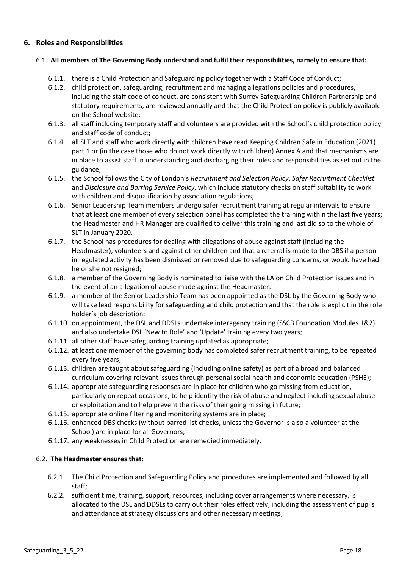# <span id="page-17-0"></span>**6. Roles and Responsibilities**

#### 6.1. **All members of The Governing Body understand and fulfil their responsibilities, namely to ensure that:**

- 6.1.1. there is a Child Protection and Safeguarding policy together with a Staff Code of Conduct;
- 6.1.2. child protection, safeguarding, recruitment and managing allegations policies and procedures, including the staff code of conduct, are consistent with Surrey Safeguarding Children Partnership and statutory requirements, are reviewed annually and that the Child Protection policy is publicly available on the School website;
- 6.1.3. all staff including temporary staff and volunteers are provided with the School's child protection policy and staff code of conduct;
- 6.1.4. all SLT and staff who work directly with children have read Keeping Children Safe in Education (2021) part 1 or (in the case those who do not work directly with children) Annex A and that mechanisms are in place to assist staff in understanding and discharging their roles and responsibilities as set out in the guidance;
- 6.1.5. the School follows the City of London's *Recruitment and Selection Policy*, *Safer Recruitment Checklist*  and *Disclosure and Barring Service Policy*, which include statutory checks on staff suitability to work with children and disqualification by association regulations;
- 6.1.6. Senior Leadership Team members undergo safer recruitment training at regular intervals to ensure that at least one member of every selection panel has completed the training within the last five years; the Headmaster and HR Manager are qualified to deliver this training and last did so to the whole of SLT in January 2020.
- 6.1.7. the School has procedures for dealing with allegations of abuse against staff (including the Headmaster), volunteers and against other children and that a referral is made to the DBS if a person in regulated activity has been dismissed or removed due to safeguarding concerns, or would have had he or she not resigned;
- 6.1.8. a member of the Governing Body is nominated to liaise with the LA on Child Protection issues and in the event of an allegation of abuse made against the Headmaster.
- 6.1.9. a member of the Senior Leadership Team has been appointed as the DSL by the Governing Body who will take lead responsibility for safeguarding and child protection and that the role is explicit in the role holder's job description;
- 6.1.10. on appointment, the DSL and DDSLs undertake interagency training (SSCB Foundation Modules 1&2) and also undertake DSL 'New to Role' and 'Update' training every two years;
- 6.1.11. all other staff have safeguarding training updated as appropriate;
- 6.1.12. at least one member of the governing body has completed safer recruitment training, to be repeated every five years;
- 6.1.13. children are taught about safeguarding (including online safety) as part of a broad and balanced curriculum covering relevant issues through personal social health and economic education (PSHE);
- 6.1.14. appropriate safeguarding responses are in place for children who go missing from education, particularly on repeat occasions, to help identify the risk of abuse and neglect including sexual abuse or exploitation and to help prevent the risks of their going missing in future;
- 6.1.15. appropriate online filtering and monitoring systems are in place;
- 6.1.16. enhanced DBS checks (without barred list checks, unless the Governor is also a volunteer at the School) are in place for all Governors;
- 6.1.17. any weaknesses in Child Protection are remedied immediately.

#### 6.2. **The Headmaster ensures that:**

- 6.2.1. The Child Protection and Safeguarding Policy and procedures are implemented and followed by all staff;
- 6.2.2. sufficient time, training, support, resources, including cover arrangements where necessary, is allocated to the DSL and DDSLs to carry out their roles effectively, including the assessment of pupils and attendance at strategy discussions and other necessary meetings;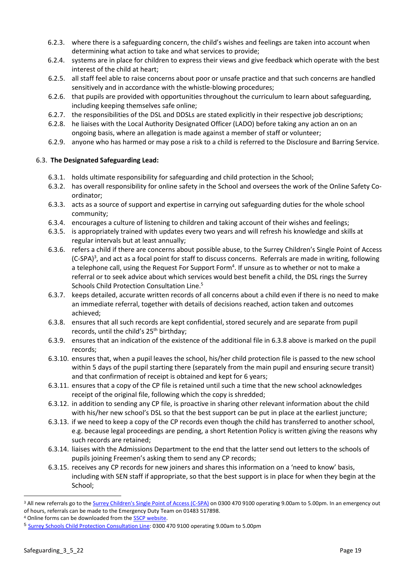- 6.2.3. where there is a safeguarding concern, the child's wishes and feelings are taken into account when determining what action to take and what services to provide;
- 6.2.4. systems are in place for children to express their views and give feedback which operate with the best interest of the child at heart;
- 6.2.5. all staff feel able to raise concerns about poor or unsafe practice and that such concerns are handled sensitively and in accordance with the whistle-blowing procedures;
- 6.2.6. that pupils are provided with opportunities throughout the curriculum to learn about safeguarding, including keeping themselves safe online;
- 6.2.7. the responsibilities of the DSL and DDSLs are stated explicitly in their respective job descriptions;
- 6.2.8. he liaises with the Local Authority Designated Officer (LADO) before taking any action an on an ongoing basis, where an allegation is made against a member of staff or volunteer;
- 6.2.9. anyone who has harmed or may pose a risk to a child is referred to the Disclosure and Barring Service.

# 6.3. **The Designated Safeguarding Lead:**

- 6.3.1. holds ultimate responsibility for safeguarding and child protection in the School;
- 6.3.2. has overall responsibility for online safety in the School and oversees the work of the Online Safety Coordinator;
- 6.3.3. acts as a source of support and expertise in carrying out safeguarding duties for the whole school community;
- 6.3.4. encourages a culture of listening to children and taking account of their wishes and feelings;
- 6.3.5. is appropriately trained with updates every two years and will refresh his knowledge and skills at regular intervals but at least annually;
- 6.3.6. refers a child if there are concerns about possible abuse, to the Surrey Children's Single Point of Access (C-SPA)<sup>3</sup>, and act as a focal point for staff to discuss concerns. Referrals are made in writing, following a telephone call, using the Request For Support Form<sup>4</sup>. If unsure as to whether or not to make a referral or to seek advice about which services would best benefit a child, the DSL rings the Surrey Schools Child Protection Consultation Line. 5
- 6.3.7. keeps detailed, accurate written records of all concerns about a child even if there is no need to make an immediate referral, together with details of decisions reached, action taken and outcomes achieved;
- 6.3.8. ensures that all such records are kept confidential, stored securely and are separate from pupil records, until the child's 25<sup>th</sup> birthday;
- 6.3.9. ensures that an indication of the existence of the additional file in 6.3.8 above is marked on the pupil records;
- 6.3.10. ensures that, when a pupil leaves the school, his/her child protection file is passed to the new school within 5 days of the pupil starting there (separately from the main pupil and ensuring secure transit) and that confirmation of receipt is obtained and kept for 6 years;
- 6.3.11. ensures that a copy of the CP file is retained until such a time that the new school acknowledges receipt of the original file, following which the copy is shredded;
- 6.3.12. in addition to sending any CP file, is proactive in sharing other relevant information about the child with his/her new school's DSL so that the best support can be put in place at the earliest juncture;
- 6.3.13. if we need to keep a copy of the CP records even though the child has transferred to another school, e.g. because legal proceedings are pending, a short Retention Policy is written giving the reasons why such records are retained;
- 6.3.14. liaises with the Admissions Department to the end that the latter send out letters to the schools of pupils joining Freemen's asking them to send any CP records;
- 6.3.15. receives any CP records for new joiners and shares this information on a 'need to know' basis, including with SEN staff if appropriate, so that the best support is in place for when they begin at the School;

<sup>&</sup>lt;sup>3</sup> All new referrals go to th[e Surrey Children's Single Point of Access \(C-SPA\)](https://www.surreycc.gov.uk/social-care-and-health/childrens-social-care/contact-childrens-services) on 0300 470 9100 operating 9.00am to 5.00pm. In an emergency out of hours, referrals can be made to the Emergency Duty Team on 01483 517898.

<sup>&</sup>lt;sup>4</sup> Online forms can be downloaded from the **SSCP website**.

<sup>5</sup> [Surrey Schools Child Protection Consultation Line:](https://www.surreycc.gov.uk/social-care-and-health/childrens-social-care/contact-childrens-services) 0300 470 9100 operating 9.00am to 5.00pm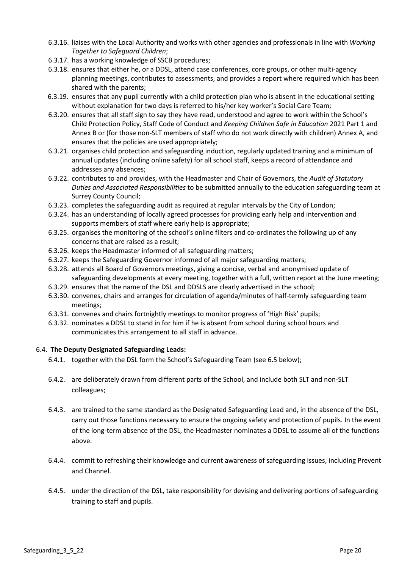- 6.3.16. liaises with the Local Authority and works with other agencies and professionals in line with *Working Together to Safeguard Children*;
- 6.3.17. has a working knowledge of SSCB procedures;
- 6.3.18. ensures that either he, or a DDSL, attend case conferences, core groups, or other multi-agency planning meetings, contributes to assessments, and provides a report where required which has been shared with the parents;
- 6.3.19. ensures that any pupil currently with a child protection plan who is absent in the educational setting without explanation for two days is referred to his/her key worker's Social Care Team;
- 6.3.20. ensures that all staff sign to say they have read, understood and agree to work within the School's Child Protection Policy, Staff Code of Conduct and *Keeping Children Safe in Education* 2021 Part 1 and Annex B or (for those non-SLT members of staff who do not work directly with children) Annex A, and ensures that the policies are used appropriately;
- 6.3.21. organises child protection and safeguarding induction, regularly updated training and a minimum of annual updates (including online safety) for all school staff, keeps a record of attendance and addresses any absences;
- 6.3.22. contributes to and provides, with the Headmaster and Chair of Governors, the *Audit of Statutory Duties and Associated Responsibilities* to be submitted annually to the education safeguarding team at Surrey County Council;
- 6.3.23. completes the safeguarding audit as required at regular intervals by the City of London;
- 6.3.24. has an understanding of locally agreed processes for providing early help and intervention and supports members of staff where early help is appropriate;
- 6.3.25. organises the monitoring of the school's online filters and co-ordinates the following up of any concerns that are raised as a result;
- 6.3.26. keeps the Headmaster informed of all safeguarding matters;
- 6.3.27. keeps the Safeguarding Governor informed of all major safeguarding matters;
- 6.3.28. attends all Board of Governors meetings, giving a concise, verbal and anonymised update of safeguarding developments at every meeting, together with a full, written report at the June meeting;
- 6.3.29. ensures that the name of the DSL and DDSLS are clearly advertised in the school;
- 6.3.30. convenes, chairs and arranges for circulation of agenda/minutes of half-termly safeguarding team meetings;
- 6.3.31. convenes and chairs fortnightly meetings to monitor progress of 'High Risk' pupils;
- 6.3.32. nominates a DDSL to stand in for him if he is absent from school during school hours and communicates this arrangement to all staff in advance.

#### 6.4. **The Deputy Designated Safeguarding Leads:**

- 6.4.1. together with the DSL form the School's Safeguarding Team (see 6.5 below);
- 6.4.2. are deliberately drawn from different parts of the School, and include both SLT and non-SLT colleagues;
- 6.4.3. are trained to the same standard as the Designated Safeguarding Lead and, in the absence of the DSL, carry out those functions necessary to ensure the ongoing safety and protection of pupils. In the event of the long-term absence of the DSL, the Headmaster nominates a DDSL to assume all of the functions above.
- 6.4.4. commit to refreshing their knowledge and current awareness of safeguarding issues, including Prevent and Channel.
- 6.4.5. under the direction of the DSL, take responsibility for devising and delivering portions of safeguarding training to staff and pupils.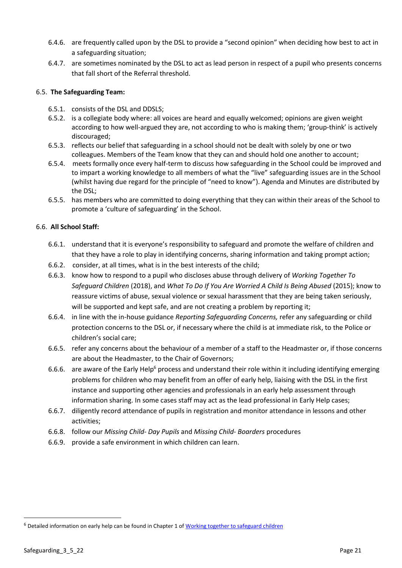- 6.4.6. are frequently called upon by the DSL to provide a "second opinion" when deciding how best to act in a safeguarding situation;
- 6.4.7. are sometimes nominated by the DSL to act as lead person in respect of a pupil who presents concerns that fall short of the Referral threshold.

#### 6.5. **The Safeguarding Team:**

- 6.5.1. consists of the DSL and DDSLS;
- 6.5.2. is a collegiate body where: all voices are heard and equally welcomed; opinions are given weight according to how well-argued they are, not according to who is making them; 'group-think' is actively discouraged;
- 6.5.3. reflects our belief that safeguarding in a school should not be dealt with solely by one or two colleagues. Members of the Team know that they can and should hold one another to account;
- 6.5.4. meets formally once every half-term to discuss how safeguarding in the School could be improved and to impart a working knowledge to all members of what the "live" safeguarding issues are in the School (whilst having due regard for the principle of "need to know"). Agenda and Minutes are distributed by the DSL;
- 6.5.5. has members who are committed to doing everything that they can within their areas of the School to promote a 'culture of safeguarding' in the School.

#### 6.6. **All School Staff:**

- 6.6.1. understand that it is everyone's responsibility to safeguard and promote the welfare of children and that they have a role to play in identifying concerns, sharing information and taking prompt action;
- 6.6.2. consider, at all times, what is in the best interests of the child;
- 6.6.3. know how to respond to a pupil who discloses abuse through delivery of *Working Together To Safeguard Children* (2018), and *What To Do If You Are Worried A Child Is Being Abused* (2015); know to reassure victims of abuse, sexual violence or sexual harassment that they are being taken seriously, will be supported and kept safe, and are not creating a problem by reporting it;
- 6.6.4. in line with the in-house guidance *Reporting Safeguarding Concerns,* refer any safeguarding or child protection concerns to the DSL or, if necessary where the child is at immediate risk, to the Police or children's social care;
- 6.6.5. refer any concerns about the behaviour of a member of a staff to the Headmaster or, if those concerns are about the Headmaster, to the Chair of Governors;
- 6.6.6. are aware of the Early Help<sup>6</sup> process and understand their role within it including identifying emerging problems for children who may benefit from an offer of early help, liaising with the DSL in the first instance and supporting other agencies and professionals in an early help assessment through information sharing. In some cases staff may act as the lead professional in Early Help cases;
- 6.6.7. diligently record attendance of pupils in registration and monitor attendance in lessons and other activities;
- 6.6.8. follow our *Missing Child- Day Pupils* and *Missing Child- Boarders* procedures
- 6.6.9. provide a safe environment in which children can learn.

<sup>&</sup>lt;sup>6</sup> Detailed information on early help can be found in Chapter 1 of Working together to safeguard children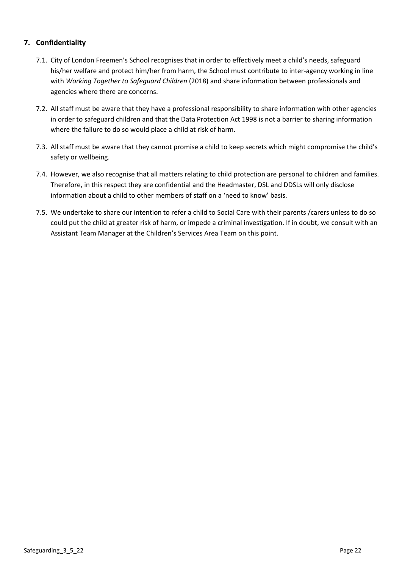# <span id="page-21-0"></span>**7. Confidentiality**

- 7.1. City of London Freemen's School recognises that in order to effectively meet a child's needs, safeguard his/her welfare and protect him/her from harm, the School must contribute to inter-agency working in line with *Working Together to Safeguard Children* (2018) and share information between professionals and agencies where there are concerns.
- 7.2. All staff must be aware that they have a professional responsibility to share information with other agencies in order to safeguard children and that the Data Protection Act 1998 is not a barrier to sharing information where the failure to do so would place a child at risk of harm.
- 7.3. All staff must be aware that they cannot promise a child to keep secrets which might compromise the child's safety or wellbeing.
- 7.4. However, we also recognise that all matters relating to child protection are personal to children and families. Therefore, in this respect they are confidential and the Headmaster, DSL and DDSLs will only disclose information about a child to other members of staff on a 'need to know' basis.
- 7.5. We undertake to share our intention to refer a child to Social Care with their parents /carers unless to do so could put the child at greater risk of harm, or impede a criminal investigation. If in doubt, we consult with an Assistant Team Manager at the Children's Services Area Team on this point.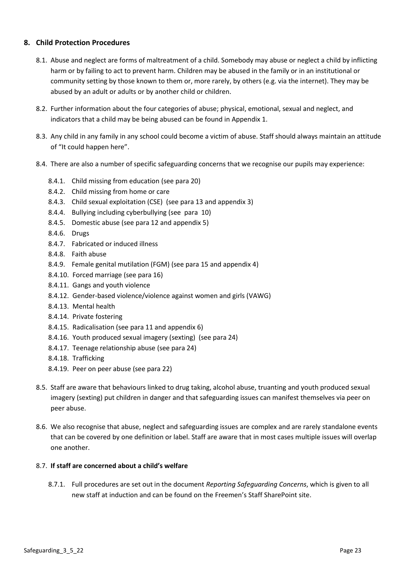# <span id="page-22-0"></span>**8. Child Protection Procedures**

- 8.1. Abuse and neglect are forms of maltreatment of a child. Somebody may abuse or neglect a child by inflicting harm or by failing to act to prevent harm. Children may be abused in the family or in an institutional or community setting by those known to them or, more rarely, by others (e.g. via the internet). They may be abused by an adult or adults or by another child or children.
- 8.2. Further information about the four categories of abuse; physical, emotional, sexual and neglect, and indicators that a child may be being abused can be found in Appendix 1.
- 8.3. Any child in any family in any school could become a victim of abuse. Staff should always maintain an attitude of "It could happen here".
- 8.4. There are also a number of specific safeguarding concerns that we recognise our pupils may experience:
	- 8.4.1. Child missing from education (see para 20)
	- 8.4.2. Child missing from home or care
	- 8.4.3. Child sexual exploitation (CSE) (see para 13 and appendix 3)
	- 8.4.4. Bullying including cyberbullying (see para 10)
	- 8.4.5. Domestic abuse (see para 12 and appendix 5)
	- 8.4.6. Drugs
	- 8.4.7. Fabricated or induced illness
	- 8.4.8. Faith abuse
	- 8.4.9. Female genital mutilation (FGM) (see para 15 and appendix 4)
	- 8.4.10. Forced marriage (see para 16)
	- 8.4.11. Gangs and youth violence
	- 8.4.12. Gender-based violence/violence against women and girls (VAWG)
	- 8.4.13. Mental health
	- 8.4.14. Private fostering
	- 8.4.15. Radicalisation (see para 11 and appendix 6)
	- 8.4.16. Youth produced sexual imagery (sexting) (see para 24)
	- 8.4.17. Teenage relationship abuse (see para 24)
	- 8.4.18. Trafficking
	- 8.4.19. Peer on peer abuse (see para 22)
- 8.5. Staff are aware that behaviours linked to drug taking, alcohol abuse, truanting and youth produced sexual imagery (sexting) put children in danger and that safeguarding issues can manifest themselves via peer on peer abuse.
- 8.6. We also recognise that abuse, neglect and safeguarding issues are complex and are rarely standalone events that can be covered by one definition or label. Staff are aware that in most cases multiple issues will overlap one another.

#### 8.7. **If staff are concerned about a child's welfare**

8.7.1. Full procedures are set out in the document *Reporting Safeguarding Concerns*, which is given to all new staff at induction and can be found on the Freemen's Staff SharePoint site.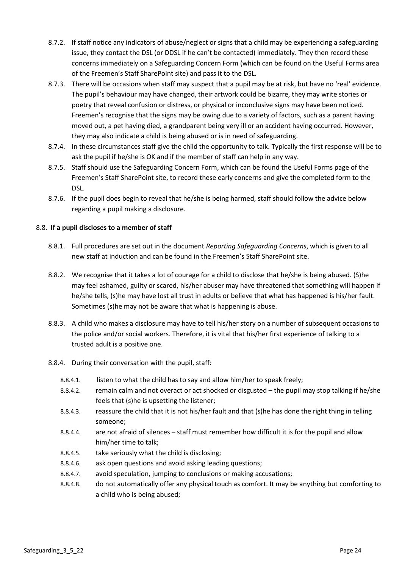- 8.7.2. If staff notice any indicators of abuse/neglect or signs that a child may be experiencing a safeguarding issue, they contact the DSL (or DDSL if he can't be contacted) immediately. They then record these concerns immediately on a Safeguarding Concern Form (which can be found on the Useful Forms area of the Freemen's Staff SharePoint site) and pass it to the DSL.
- 8.7.3. There will be occasions when staff may suspect that a pupil may be at risk, but have no 'real' evidence. The pupil's behaviour may have changed, their artwork could be bizarre, they may write stories or poetry that reveal confusion or distress, or physical or inconclusive signs may have been noticed. Freemen's recognise that the signs may be owing due to a variety of factors, such as a parent having moved out, a pet having died, a grandparent being very ill or an accident having occurred. However, they may also indicate a child is being abused or is in need of safeguarding.
- 8.7.4. In these circumstances staff give the child the opportunity to talk. Typically the first response will be to ask the pupil if he/she is OK and if the member of staff can help in any way.
- 8.7.5. Staff should use the Safeguarding Concern Form, which can be found the Useful Forms page of the Freemen's Staff SharePoint site, to record these early concerns and give the completed form to the DSL.
- 8.7.6. If the pupil does begin to reveal that he/she is being harmed, staff should follow the advice below regarding a pupil making a disclosure.

#### 8.8. **If a pupil discloses to a member of staff**

- 8.8.1. Full procedures are set out in the document *Reporting Safeguarding Concerns*, which is given to all new staff at induction and can be found in the Freemen's Staff SharePoint site.
- 8.8.2. We recognise that it takes a lot of courage for a child to disclose that he/she is being abused. (S)he may feel ashamed, guilty or scared, his/her abuser may have threatened that something will happen if he/she tells, (s)he may have lost all trust in adults or believe that what has happened is his/her fault. Sometimes (s)he may not be aware that what is happening is abuse.
- 8.8.3. A child who makes a disclosure may have to tell his/her story on a number of subsequent occasions to the police and/or social workers. Therefore, it is vital that his/her first experience of talking to a trusted adult is a positive one.

#### 8.8.4. During their conversation with the pupil, staff:

- 8.8.4.1. listen to what the child has to say and allow him/her to speak freely;
- 8.8.4.2. remain calm and not overact or act shocked or disgusted the pupil may stop talking if he/she feels that (s)he is upsetting the listener;
- 8.8.4.3. reassure the child that it is not his/her fault and that (s)he has done the right thing in telling someone;
- 8.8.4.4. are not afraid of silences staff must remember how difficult it is for the pupil and allow him/her time to talk;
- 8.8.4.5. take seriously what the child is disclosing;
- 8.8.4.6. ask open questions and avoid asking leading questions;
- 8.8.4.7. avoid speculation, jumping to conclusions or making accusations;
- 8.8.4.8. do not automatically offer any physical touch as comfort. It may be anything but comforting to a child who is being abused;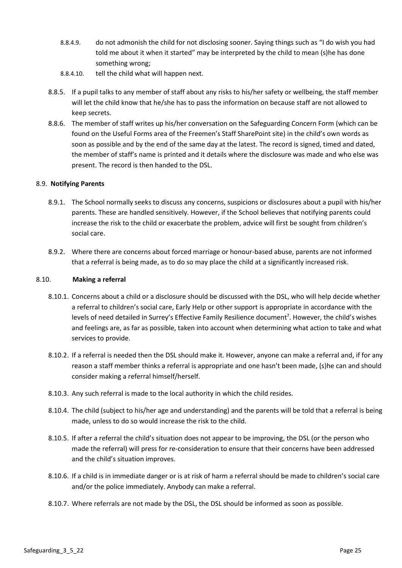- 8.8.4.9. do not admonish the child for not disclosing sooner. Saying things such as "I do wish you had told me about it when it started" may be interpreted by the child to mean (s)he has done something wrong;
- 8.8.4.10. tell the child what will happen next.
- 8.8.5. If a pupil talks to any member of staff about any risks to his/her safety or wellbeing, the staff member will let the child know that he/she has to pass the information on because staff are not allowed to keep secrets.
- 8.8.6. The member of staff writes up his/her conversation on the Safeguarding Concern Form (which can be found on the Useful Forms area of the Freemen's Staff SharePoint site) in the child's own words as soon as possible and by the end of the same day at the latest. The record is signed, timed and dated, the member of staff's name is printed and it details where the disclosure was made and who else was present. The record is then handed to the DSL.

#### 8.9. **Notifying Parents**

- 8.9.1. The School normally seeks to discuss any concerns, suspicions or disclosures about a pupil with his/her parents. These are handled sensitively. However, if the School believes that notifying parents could increase the risk to the child or exacerbate the problem, advice will first be sought from children's social care.
- 8.9.2. Where there are concerns about forced marriage or honour-based abuse, parents are not informed that a referral is being made, as to do so may place the child at a significantly increased risk.

#### 8.10. **Making a referral**

- 8.10.1. Concerns about a child or a disclosure should be discussed with the DSL, who will help decide whether a referral to children's social care, Early Help or other support is appropriate in accordance with the levels of need detailed in Surrey's Effective Family Resilience document<sup>7</sup>. However, the child's wishes and feelings are, as far as possible, taken into account when determining what action to take and what services to provide.
- 8.10.2. If a referral is needed then the DSL should make it. However, anyone can make a referral and, if for any reason a staff member thinks a referral is appropriate and one hasn't been made, (s)he can and should consider making a referral himself/herself.
- 8.10.3. Any such referral is made to the local authority in which the child resides.
- 8.10.4. The child (subject to his/her age and understanding) and the parents will be told that a referral is being made, unless to do so would increase the risk to the child.
- 8.10.5. If after a referral the child's situation does not appear to be improving, the DSL (or the person who made the referral) will press for re-consideration to ensure that their concerns have been addressed and the child's situation improves.
- 8.10.6. If a child is in immediate danger or is at risk of harm a referral should be made to children's social care and/or the police immediately. Anybody can make a referral.
- 8.10.7. Where referrals are not made by the DSL, the DSL should be informed as soon as possible.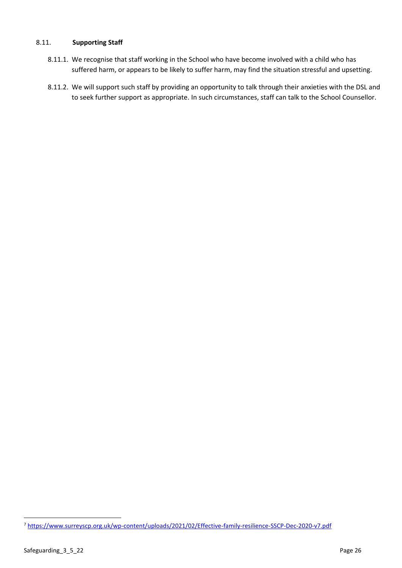#### 8.11. **Supporting Staff**

- 8.11.1. We recognise that staff working in the School who have become involved with a child who has suffered harm, or appears to be likely to suffer harm, may find the situation stressful and upsetting.
- 8.11.2. We will support such staff by providing an opportunity to talk through their anxieties with the DSL and to seek further support as appropriate. In such circumstances, staff can talk to the School Counsellor.

<sup>7</sup> <https://www.surreyscp.org.uk/wp-content/uploads/2021/02/Effective-family-resilience-SSCP-Dec-2020-v7.pdf>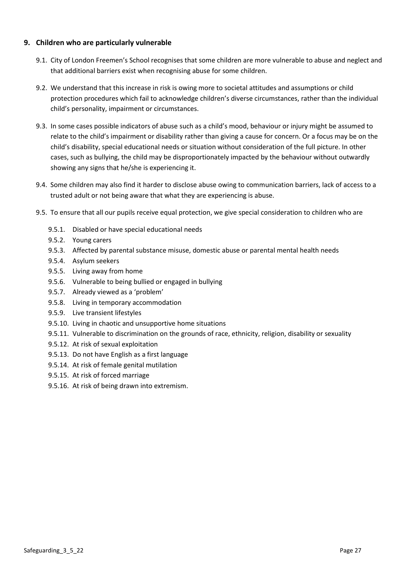# <span id="page-26-0"></span>**9. Children who are particularly vulnerable**

- 9.1. City of London Freemen's School recognises that some children are more vulnerable to abuse and neglect and that additional barriers exist when recognising abuse for some children.
- 9.2. We understand that this increase in risk is owing more to societal attitudes and assumptions or child protection procedures which fail to acknowledge children's diverse circumstances, rather than the individual child's personality, impairment or circumstances.
- 9.3. In some cases possible indicators of abuse such as a child's mood, behaviour or injury might be assumed to relate to the child's impairment or disability rather than giving a cause for concern. Or a focus may be on the child's disability, special educational needs or situation without consideration of the full picture. In other cases, such as bullying, the child may be disproportionately impacted by the behaviour without outwardly showing any signs that he/she is experiencing it.
- 9.4. Some children may also find it harder to disclose abuse owing to communication barriers, lack of access to a trusted adult or not being aware that what they are experiencing is abuse.
- 9.5. To ensure that all our pupils receive equal protection, we give special consideration to children who are
	- 9.5.1. Disabled or have special educational needs
	- 9.5.2. Young carers
	- 9.5.3. Affected by parental substance misuse, domestic abuse or parental mental health needs
	- 9.5.4. Asylum seekers
	- 9.5.5. Living away from home
	- 9.5.6. Vulnerable to being bullied or engaged in bullying
	- 9.5.7. Already viewed as a 'problem'
	- 9.5.8. Living in temporary accommodation
	- 9.5.9. Live transient lifestyles
	- 9.5.10. Living in chaotic and unsupportive home situations
	- 9.5.11. Vulnerable to discrimination on the grounds of race, ethnicity, religion, disability or sexuality
	- 9.5.12. At risk of sexual exploitation
	- 9.5.13. Do not have English as a first language
	- 9.5.14. At risk of female genital mutilation
	- 9.5.15. At risk of forced marriage
	- 9.5.16. At risk of being drawn into extremism.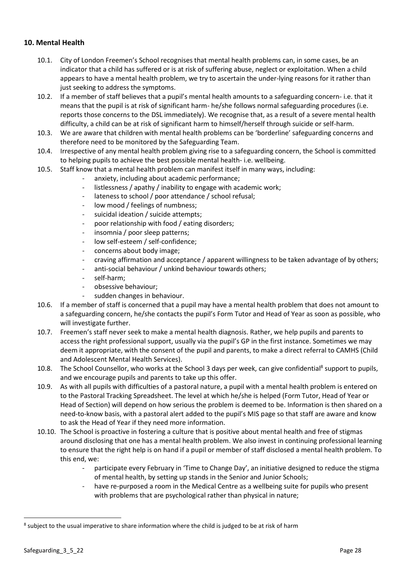# <span id="page-27-0"></span>**10. Mental Health**

- 10.1. City of London Freemen's School recognises that mental health problems can, in some cases, be an indicator that a child has suffered or is at risk of suffering abuse, neglect or exploitation. When a child appears to have a mental health problem, we try to ascertain the under-lying reasons for it rather than just seeking to address the symptoms.
- 10.2. If a member of staff believes that a pupil's mental health amounts to a safeguarding concern- i.e. that it means that the pupil is at risk of significant harm- he/she follows normal safeguarding procedures (i.e. reports those concerns to the DSL immediately). We recognise that, as a result of a severe mental health difficulty, a child can be at risk of significant harm to himself/herself through suicide or self-harm.
- 10.3. We are aware that children with mental health problems can be 'borderline' safeguarding concerns and therefore need to be monitored by the Safeguarding Team.
- 10.4. Irrespective of any mental health problem giving rise to a safeguarding concern, the School is committed to helping pupils to achieve the best possible mental health- i.e. wellbeing.
- 10.5. Staff know that a mental health problem can manifest itself in many ways, including:
	- anxiety, including about academic performance;
	- listlessness / apathy / inability to engage with academic work;
	- lateness to school / poor attendance / school refusal;
	- low mood / feelings of numbness;
	- suicidal ideation / suicide attempts;
	- poor relationship with food / eating disorders;
	- insomnia / poor sleep patterns;
	- low self-esteem / self-confidence;
	- concerns about body image;
	- craving affirmation and acceptance / apparent willingness to be taken advantage of by others;
	- anti-social behaviour / unkind behaviour towards others;
	- self-harm;
	- obsessive behaviour;
	- sudden changes in behaviour.
- 10.6. If a member of staff is concerned that a pupil may have a mental health problem that does not amount to a safeguarding concern, he/she contacts the pupil's Form Tutor and Head of Year as soon as possible, who will investigate further.
- 10.7. Freemen's staff never seek to make a mental health diagnosis. Rather, we help pupils and parents to access the right professional support, usually via the pupil's GP in the first instance. Sometimes we may deem it appropriate, with the consent of the pupil and parents, to make a direct referral to CAMHS (Child and Adolescent Mental Health Services).
- 10.8. The School Counsellor, who works at the School 3 days per week, can give confidential<sup>8</sup> support to pupils, and we encourage pupils and parents to take up this offer.
- 10.9. As with all pupils with difficulties of a pastoral nature, a pupil with a mental health problem is entered on to the Pastoral Tracking Spreadsheet. The level at which he/she is helped (Form Tutor, Head of Year or Head of Section) will depend on how serious the problem is deemed to be. Information is then shared on a need-to-know basis, with a pastoral alert added to the pupil's MIS page so that staff are aware and know to ask the Head of Year if they need more information.
- 10.10. The School is proactive in fostering a culture that is positive about mental health and free of stigmas around disclosing that one has a mental health problem. We also invest in continuing professional learning to ensure that the right help is on hand if a pupil or member of staff disclosed a mental health problem. To this end, we:
	- participate every February in 'Time to Change Day', an initiative designed to reduce the stigma of mental health, by setting up stands in the Senior and Junior Schools;
	- have re-purposed a room in the Medical Centre as a wellbeing suite for pupils who present with problems that are psychological rather than physical in nature;

 $8$  subject to the usual imperative to share information where the child is judged to be at risk of harm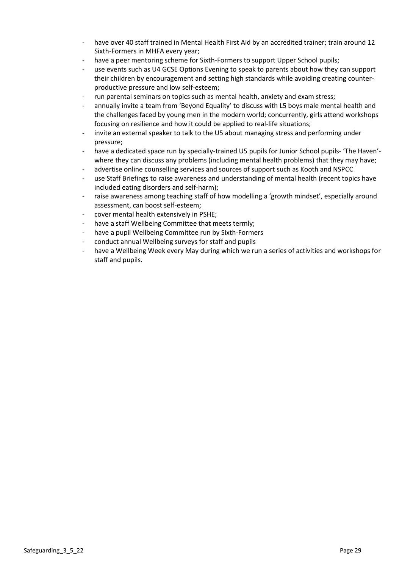- have over 40 staff trained in Mental Health First Aid by an accredited trainer; train around 12 Sixth-Formers in MHFA every year;
- have a peer mentoring scheme for Sixth-Formers to support Upper School pupils;
- use events such as U4 GCSE Options Evening to speak to parents about how they can support their children by encouragement and setting high standards while avoiding creating counterproductive pressure and low self-esteem;
- run parental seminars on topics such as mental health, anxiety and exam stress;
- annually invite a team from 'Beyond Equality' to discuss with L5 boys male mental health and the challenges faced by young men in the modern world; concurrently, girls attend workshops focusing on resilience and how it could be applied to real-life situations;
- invite an external speaker to talk to the U5 about managing stress and performing under pressure;
- have a dedicated space run by specially-trained U5 pupils for Junior School pupils- 'The Haven'where they can discuss any problems (including mental health problems) that they may have;
- advertise online counselling services and sources of support such as Kooth and NSPCC
- use Staff Briefings to raise awareness and understanding of mental health (recent topics have included eating disorders and self-harm);
- raise awareness among teaching staff of how modelling a 'growth mindset', especially around assessment, can boost self-esteem;
- cover mental health extensively in PSHE;
- have a staff Wellbeing Committee that meets termly;
- have a pupil Wellbeing Committee run by Sixth-Formers
- conduct annual Wellbeing surveys for staff and pupils
- have a Wellbeing Week every May during which we run a series of activities and workshops for staff and pupils.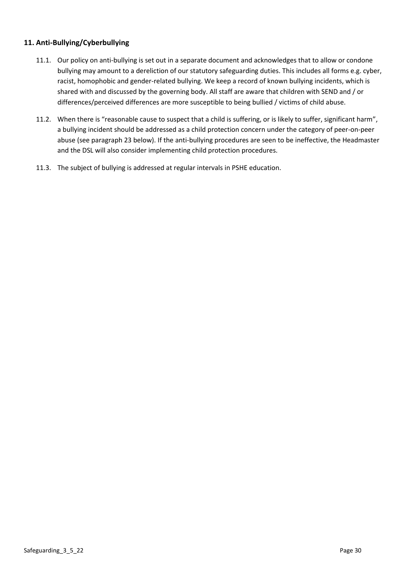# <span id="page-29-0"></span>**11. Anti-Bullying/Cyberbullying**

- 11.1. Our policy on anti-bullying is set out in a separate document and acknowledges that to allow or condone bullying may amount to a dereliction of our statutory safeguarding duties. This includes all forms e.g. cyber, racist, homophobic and gender-related bullying. We keep a record of known bullying incidents, which is shared with and discussed by the governing body. All staff are aware that children with SEND and / or differences/perceived differences are more susceptible to being bullied / victims of child abuse.
- 11.2. When there is "reasonable cause to suspect that a child is suffering, or is likely to suffer, significant harm", a bullying incident should be addressed as a child protection concern under the category of peer-on-peer abuse (see paragraph 23 below). If the anti-bullying procedures are seen to be ineffective, the Headmaster and the DSL will also consider implementing child protection procedures.
- 11.3. The subject of bullying is addressed at regular intervals in PSHE education.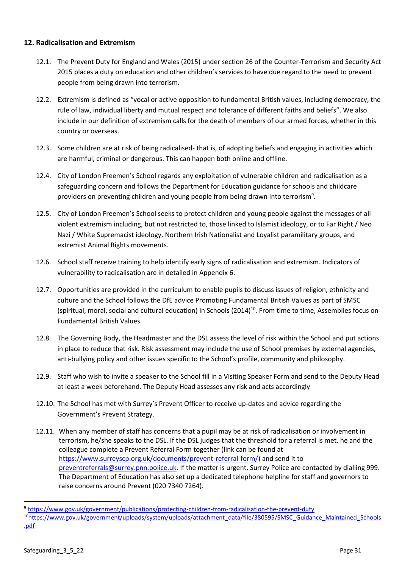# <span id="page-30-0"></span>**12. Radicalisation and Extremism**

- 12.1. The Prevent Duty for England and Wales (2015) under section 26 of the Counter-Terrorism and Security Act 2015 places a duty on education and other children's services to have due regard to the need to prevent people from being drawn into terrorism.
- 12.2. Extremism is defined as "vocal or active opposition to fundamental British values, including democracy, the rule of law, individual liberty and mutual respect and tolerance of different faiths and beliefs". We also include in our definition of extremism calls for the death of members of our armed forces, whether in this country or overseas.
- 12.3. Some children are at risk of being radicalised- that is, of adopting beliefs and engaging in activities which are harmful, criminal or dangerous. This can happen both online and offline.
- 12.4. City of London Freemen's School regards any exploitation of vulnerable children and radicalisation as a safeguarding concern and follows the Department for Education guidance for schools and childcare providers on preventing children and young people from being drawn into terrorism<sup>9</sup>.
- 12.5. City of London Freemen's School seeks to protect children and young people against the messages of all violent extremism including, but not restricted to, those linked to Islamist ideology, or to Far Right / Neo Nazi / White Supremacist ideology, Northern Irish Nationalist and Loyalist paramilitary groups, and extremist Animal Rights movements.
- 12.6. School staff receive training to help identify early signs of radicalisation and extremism. Indicators of vulnerability to radicalisation are in detailed in Appendix 6.
- 12.7. Opportunities are provided in the curriculum to enable pupils to discuss issues of religion, ethnicity and culture and the School follows the DfE advice Promoting Fundamental British Values as part of SMSC (spiritual, moral, social and cultural education) in Schools  $(2014)^{10}$ . From time to time, Assemblies focus on Fundamental British Values.
- 12.8. The Governing Body, the Headmaster and the DSL assess the level of risk within the School and put actions in place to reduce that risk. Risk assessment may include the use of School premises by external agencies, anti-bullying policy and other issues specific to the School's profile, community and philosophy.
- 12.9. Staff who wish to invite a speaker to the School fill in a Visiting Speaker Form and send to the Deputy Head at least a week beforehand. The Deputy Head assesses any risk and acts accordingly
- 12.10. The School has met with Surrey's Prevent Officer to receive up-dates and advice regarding the Government's Prevent Strategy.
- 12.11. When any member of staff has concerns that a pupil may be at risk of radicalisation or involvement in terrorism, he/she speaks to the DSL. If the DSL judges that the threshold for a referral is met, he and the colleague complete a Prevent Referral Form together (link can be found at [https://www.surreyscp.org.uk/documents/prevent-referral-form/\)](https://www.surreyscp.org.uk/documents/prevent-referral-form/) and send it to [preventreferrals@surrey.pnn.police.uk.](mailto:preventreferrals@surrey.pnn.police.uk) If the matter is urgent, Surrey Police are contacted by dialling 999. The Department of Education has also set up a dedicated telephone helpline for staff and governors to raise concerns around Prevent (020 7340 7264).

<sup>9</sup> <https://www.gov.uk/government/publications/protecting-children-from-radicalisation-the-prevent-duty>

<sup>10</sup>[https://www.gov.uk/government/uploads/system/uploads/attachment\\_data/file/380595/SMSC\\_Guidance\\_Maintained\\_Schools](https://www.gov.uk/government/uploads/system/uploads/attachment_data/file/380595/SMSC_Guidance_Maintained_Schools.pdf) [.pdf](https://www.gov.uk/government/uploads/system/uploads/attachment_data/file/380595/SMSC_Guidance_Maintained_Schools.pdf)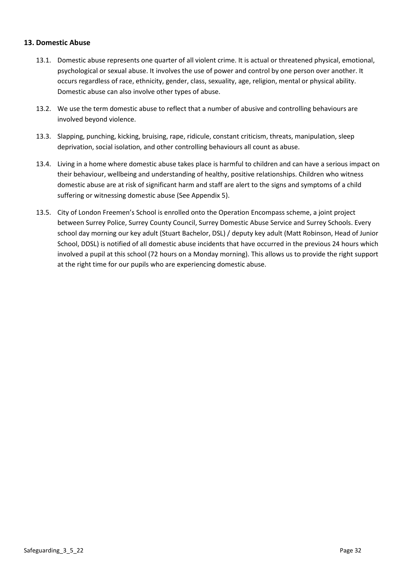#### <span id="page-31-0"></span>**13. Domestic Abuse**

- 13.1. Domestic abuse represents one quarter of all violent crime. It is actual or threatened physical, emotional, psychological or sexual abuse. It involves the use of power and control by one person over another. It occurs regardless of race, ethnicity, gender, class, sexuality, age, religion, mental or physical ability. Domestic abuse can also involve other types of abuse.
- 13.2. We use the term domestic abuse to reflect that a number of abusive and controlling behaviours are involved beyond violence.
- 13.3. Slapping, punching, kicking, bruising, rape, ridicule, constant criticism, threats, manipulation, sleep deprivation, social isolation, and other controlling behaviours all count as abuse.
- 13.4. Living in a home where domestic abuse takes place is harmful to children and can have a serious impact on their behaviour, wellbeing and understanding of healthy, positive relationships. Children who witness domestic abuse are at risk of significant harm and staff are alert to the signs and symptoms of a child suffering or witnessing domestic abuse (See Appendix 5).
- 13.5. City of London Freemen's School is enrolled onto the Operation Encompass scheme, a joint project between Surrey Police, Surrey County Council, Surrey Domestic Abuse Service and Surrey Schools. Every school day morning our key adult (Stuart Bachelor, DSL) / deputy key adult (Matt Robinson, Head of Junior School, DDSL) is notified of all domestic abuse incidents that have occurred in the previous 24 hours which involved a pupil at this school (72 hours on a Monday morning). This allows us to provide the right support at the right time for our pupils who are experiencing domestic abuse.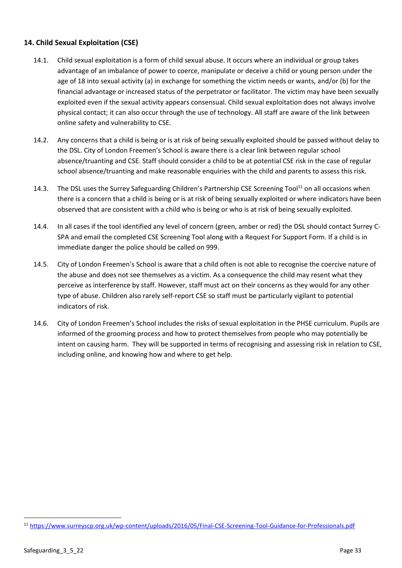# <span id="page-32-0"></span>**14. Child Sexual Exploitation (CSE)**

- 14.1. Child sexual exploitation is a form of child sexual abuse. It occurs where an individual or group takes advantage of an imbalance of power to coerce, manipulate or deceive a child or young person under the age of 18 into sexual activity (a) in exchange for something the victim needs or wants, and/or (b) for the financial advantage or increased status of the perpetrator or facilitator. The victim may have been sexually exploited even if the sexual activity appears consensual. Child sexual exploitation does not always involve physical contact; it can also occur through the use of technology. All staff are aware of the link between online safety and vulnerability to CSE.
- 14.2. Any concerns that a child is being or is at risk of being sexually exploited should be passed without delay to the DSL. City of London Freemen's School is aware there is a clear link between regular school absence/truanting and CSE. Staff should consider a child to be at potential CSE risk in the case of regular school absence/truanting and make reasonable enquiries with the child and parents to assess this risk.
- 14.3. The DSL uses the Surrey Safeguarding Children's Partnership CSE Screening Tool<sup>11</sup> on all occasions when there is a concern that a child is being or is at risk of being sexually exploited or where indicators have been observed that are consistent with a child who is being or who is at risk of being sexually exploited.
- 14.4. In all cases if the tool identified any level of concern (green, amber or red) the DSL should contact Surrey C-SPA and email the completed CSE Screening Tool along with a Request For Support Form. If a child is in immediate danger the police should be called on 999.
- 14.5. City of London Freemen's School is aware that a child often is not able to recognise the coercive nature of the abuse and does not see themselves as a victim. As a consequence the child may resent what they perceive as interference by staff. However, staff must act on their concerns as they would for any other type of abuse. Children also rarely self-report CSE so staff must be particularly vigilant to potential indicators of risk.
- 14.6. City of London Freemen's School includes the risks of sexual exploitation in the PHSE curriculum. Pupils are informed of the grooming process and how to protect themselves from people who may potentially be intent on causing harm. They will be supported in terms of recognising and assessing risk in relation to CSE, including online, and knowing how and where to get help.

<sup>11</sup> <https://www.surreyscp.org.uk/wp-content/uploads/2016/05/Final-CSE-Screening-Tool-Guidance-for-Professionals.pdf>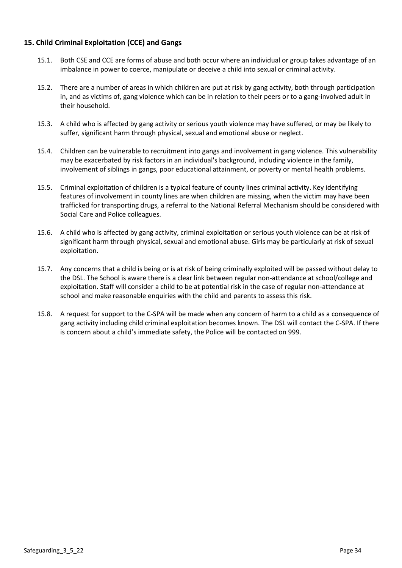# <span id="page-33-0"></span>**15. Child Criminal Exploitation (CCE) and Gangs**

- 15.1. Both CSE and CCE are forms of abuse and both occur where an individual or group takes advantage of an imbalance in power to coerce, manipulate or deceive a child into sexual or criminal activity.
- 15.2. There are a number of areas in which children are put at risk by gang activity, both through participation in, and as victims of, gang violence which can be in relation to their peers or to a gang-involved adult in their household.
- 15.3. A child who is affected by gang activity or serious youth violence may have suffered, or may be likely to suffer, significant harm through physical, sexual and emotional abuse or neglect.
- 15.4. Children can be vulnerable to recruitment into gangs and involvement in gang violence. This vulnerability may be exacerbated by risk factors in an individual's background, including violence in the family, involvement of siblings in gangs, poor educational attainment, or poverty or mental health problems.
- 15.5. Criminal exploitation of children is a typical feature of county lines criminal activity. Key identifying features of involvement in county lines are when children are missing, when the victim may have been trafficked for transporting drugs, a referral to the National Referral Mechanism should be considered with Social Care and Police colleagues.
- 15.6. A child who is affected by gang activity, criminal exploitation or serious youth violence can be at risk of significant harm through physical, sexual and emotional abuse. Girls may be particularly at risk of sexual exploitation.
- 15.7. Any concerns that a child is being or is at risk of being criminally exploited will be passed without delay to the DSL. The School is aware there is a clear link between regular non-attendance at school/college and exploitation. Staff will consider a child to be at potential risk in the case of regular non-attendance at school and make reasonable enquiries with the child and parents to assess this risk.
- 15.8. A request for support to the C-SPA will be made when any concern of harm to a child as a consequence of gang activity including child criminal exploitation becomes known. The DSL will contact the C-SPA. If there is concern about a child's immediate safety, the Police will be contacted on 999.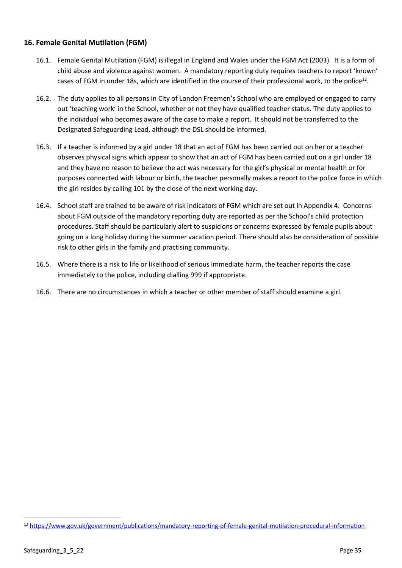# <span id="page-34-0"></span>**16. Female Genital Mutilation (FGM)**

- 16.1. Female Genital Mutilation (FGM) is illegal in England and Wales under the FGM Act (2003). It is a form of child abuse and violence against women. A mandatory reporting duty requires teachers to report 'known' cases of FGM in under 18s, which are identified in the course of their professional work, to the police<sup>12</sup>.
- 16.2. The duty applies to all persons in City of London Freemen's School who are employed or engaged to carry out 'teaching work' in the School, whether or not they have qualified teacher status. The duty applies to the individual who becomes aware of the case to make a report. It should not be transferred to the Designated Safeguarding Lead, although the DSL should be informed.
- 16.3. If a teacher is informed by a girl under 18 that an act of FGM has been carried out on her or a teacher observes physical signs which appear to show that an act of FGM has been carried out on a girl under 18 and they have no reason to believe the act was necessary for the girl's physical or mental health or for purposes connected with labour or birth, the teacher personally makes a report to the police force in which the girl resides by calling 101 by the close of the next working day.
- 16.4. School staff are trained to be aware of risk indicators of FGM which are set out in Appendix 4. Concerns about FGM outside of the mandatory reporting duty are reported as per the School's child protection procedures. Staff should be particularly alert to suspicions or concerns expressed by female pupils about going on a long holiday during the summer vacation period. There should also be consideration of possible risk to other girls in the family and practising community.
- 16.5. Where there is a risk to life or likelihood of serious immediate harm, the teacher reports the case immediately to the police, including dialling 999 if appropriate.
- 16.6. There are no circumstances in which a teacher or other member of staff should examine a girl.

<sup>12</sup> <https://www.gov.uk/government/publications/mandatory-reporting-of-female-genital-mutilation-procedural-information>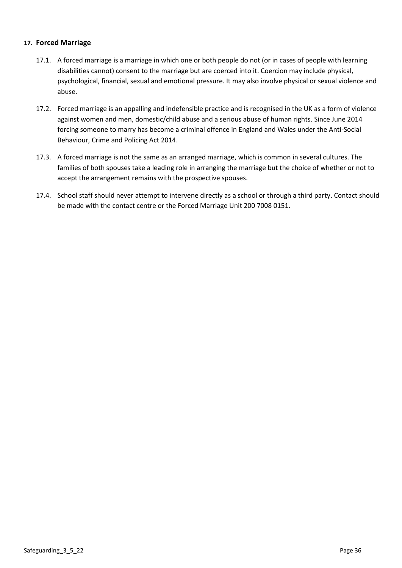#### <span id="page-35-0"></span>**17. Forced Marriage**

- 17.1. A forced marriage is a marriage in which one or both people do not (or in cases of people with learning disabilities cannot) consent to the marriage but are coerced into it. Coercion may include physical, psychological, financial, sexual and emotional pressure. It may also involve physical or sexual violence and abuse.
- 17.2. Forced marriage is an appalling and indefensible practice and is recognised in the UK as a form of violence against women and men, domestic/child abuse and a serious abuse of human rights. Since June 2014 forcing someone to marry has become a criminal offence in England and Wales under the Anti-Social Behaviour, Crime and Policing Act 2014.
- 17.3. A forced marriage is not the same as an arranged marriage, which is common in several cultures. The families of both spouses take a leading role in arranging the marriage but the choice of whether or not to accept the arrangement remains with the prospective spouses.
- 17.4. School staff should never attempt to intervene directly as a school or through a third party. Contact should be made with the contact centre or the Forced Marriage Unit 200 7008 0151.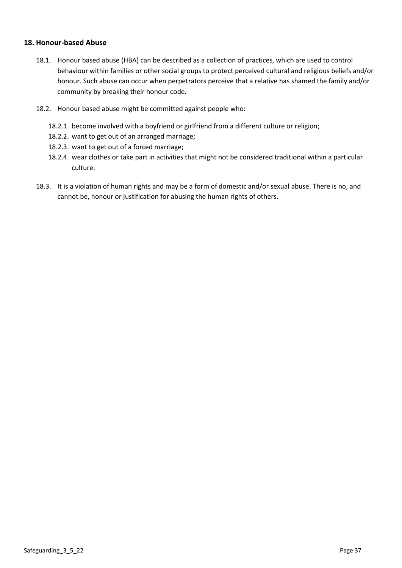## **18. Honour-based Abuse**

- 18.1. Honour based abuse (HBA) can be described as a collection of practices, which are used to control behaviour within families or other social groups to protect perceived cultural and religious beliefs and/or honour. Such abuse can occur when perpetrators perceive that a relative has shamed the family and/or community by breaking their honour code.
- 18.2. Honour based abuse might be committed against people who:
	- 18.2.1. become involved with a boyfriend or girlfriend from a different culture or religion;
	- 18.2.2. want to get out of an arranged marriage;
	- 18.2.3. want to get out of a forced marriage;
	- 18.2.4. wear clothes or take part in activities that might not be considered traditional within a particular culture.
- 18.3. It is a violation of human rights and may be a form of domestic and/or sexual abuse. There is no, and cannot be, honour or justification for abusing the human rights of others.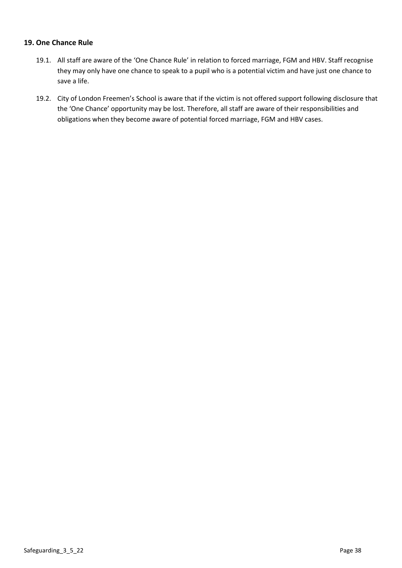# **19. One Chance Rule**

- 19.1. All staff are aware of the 'One Chance Rule' in relation to forced marriage, FGM and HBV. Staff recognise they may only have one chance to speak to a pupil who is a potential victim and have just one chance to save a life.
- 19.2. City of London Freemen's School is aware that if the victim is not offered support following disclosure that the 'One Chance' opportunity may be lost. Therefore, all staff are aware of their responsibilities and obligations when they become aware of potential forced marriage, FGM and HBV cases.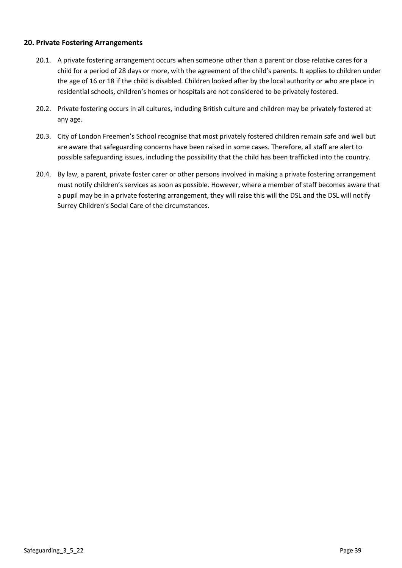# **20. Private Fostering Arrangements**

- 20.1. A private fostering arrangement occurs when someone other than a parent or close relative cares for a child for a period of 28 days or more, with the agreement of the child's parents. It applies to children under the age of 16 or 18 if the child is disabled. Children looked after by the local authority or who are place in residential schools, children's homes or hospitals are not considered to be privately fostered.
- 20.2. Private fostering occurs in all cultures, including British culture and children may be privately fostered at any age.
- 20.3. City of London Freemen's School recognise that most privately fostered children remain safe and well but are aware that safeguarding concerns have been raised in some cases. Therefore, all staff are alert to possible safeguarding issues, including the possibility that the child has been trafficked into the country.
- 20.4. By law, a parent, private foster carer or other persons involved in making a private fostering arrangement must notify children's services as soon as possible. However, where a member of staff becomes aware that a pupil may be in a private fostering arrangement, they will raise this will the DSL and the DSL will notify Surrey Children's Social Care of the circumstances.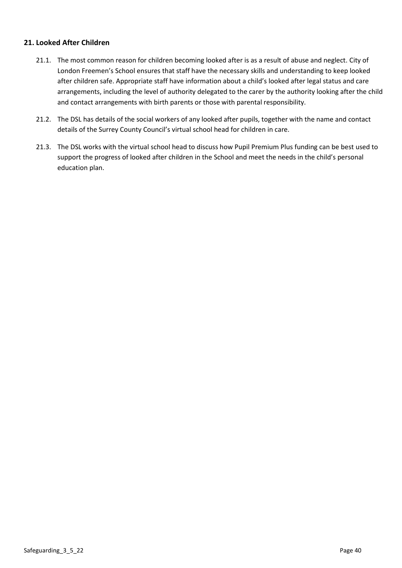# **21. Looked After Children**

- 21.1. The most common reason for children becoming looked after is as a result of abuse and neglect. City of London Freemen's School ensures that staff have the necessary skills and understanding to keep looked after children safe. Appropriate staff have information about a child's looked after legal status and care arrangements, including the level of authority delegated to the carer by the authority looking after the child and contact arrangements with birth parents or those with parental responsibility.
- 21.2. The DSL has details of the social workers of any looked after pupils, together with the name and contact details of the Surrey County Council's virtual school head for children in care.
- 21.3. The DSL works with the virtual school head to discuss how Pupil Premium Plus funding can be best used to support the progress of looked after children in the School and meet the needs in the child's personal education plan.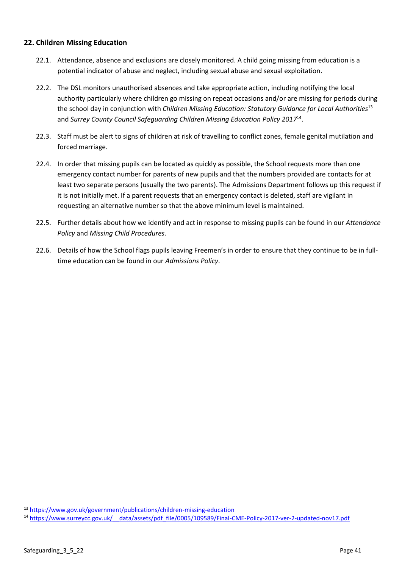# **22. Children Missing Education**

- 22.1. Attendance, absence and exclusions are closely monitored. A child going missing from education is a potential indicator of abuse and neglect, including sexual abuse and sexual exploitation.
- 22.2. The DSL monitors unauthorised absences and take appropriate action, including notifying the local authority particularly where children go missing on repeat occasions and/or are missing for periods during the school day in conjunction with *Children Missing Education: Statutory Guidance for Local Authorities*<sup>13</sup> and *Surrey County Council Safeguarding Children Missing Education Policy 2017*<sup>14</sup> .
- 22.3. Staff must be alert to signs of children at risk of travelling to conflict zones, female genital mutilation and forced marriage.
- 22.4. In order that missing pupils can be located as quickly as possible, the School requests more than one emergency contact number for parents of new pupils and that the numbers provided are contacts for at least two separate persons (usually the two parents). The Admissions Department follows up this request if it is not initially met. If a parent requests that an emergency contact is deleted, staff are vigilant in requesting an alternative number so that the above minimum level is maintained.
- 22.5. Further details about how we identify and act in response to missing pupils can be found in our *Attendance Policy* and *Missing Child Procedures.*
- 22.6. Details of how the School flags pupils leaving Freemen's in order to ensure that they continue to be in fulltime education can be found in our *Admissions Policy*.

<sup>13</sup> <https://www.gov.uk/government/publications/children-missing-education>

<sup>&</sup>lt;sup>14</sup> https://www.surreycc.gov.uk/ data/assets/pdf\_file/0005/109589/Final-CME-Policy-2017-ver-2-updated-nov17.pdf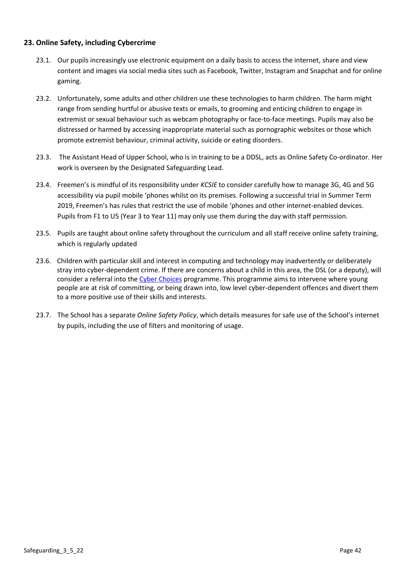# **23. Online Safety, including Cybercrime**

- 23.1. Our pupils increasingly use electronic equipment on a daily basis to access the internet, share and view content and images via social media sites such as Facebook, Twitter, Instagram and Snapchat and for online gaming.
- 23.2. Unfortunately, some adults and other children use these technologies to harm children. The harm might range from sending hurtful or abusive texts or emails, to grooming and enticing children to engage in extremist or sexual behaviour such as webcam photography or face-to-face meetings. Pupils may also be distressed or harmed by accessing inappropriate material such as pornographic websites or those which promote extremist behaviour, criminal activity, suicide or eating disorders.
- 23.3. The Assistant Head of Upper School, who is in training to be a DDSL, acts as Online Safety Co-ordinator. Her work is overseen by the Designated Safeguarding Lead.
- 23.4. Freemen's is mindful of its responsibility under *KCSIE* to consider carefully how to manage 3G, 4G and 5G accessibility via pupil mobile 'phones whilst on its premises. Following a successful trial in Summer Term 2019, Freemen's has rules that restrict the use of mobile 'phones and other internet-enabled devices. Pupils from F1 to U5 (Year 3 to Year 11) may only use them during the day with staff permission.
- 23.5. Pupils are taught about online safety throughout the curriculum and all staff receive online safety training, which is regularly updated
- 23.6. Children with particular skill and interest in computing and technology may inadvertently or deliberately stray into cyber-dependent crime. If there are concerns about a child in this area, the DSL (or a deputy), will consider a referral into th[e Cyber Choices](http://www.cyberchoices.uk/) programme. This programme aims to intervene where young people are at risk of committing, or being drawn into, low level cyber-dependent offences and divert them to a more positive use of their skills and interests.
- 23.7. The School has a separate *Online Safety Policy*, which details measures for safe use of the School's internet by pupils, including the use of filters and monitoring of usage.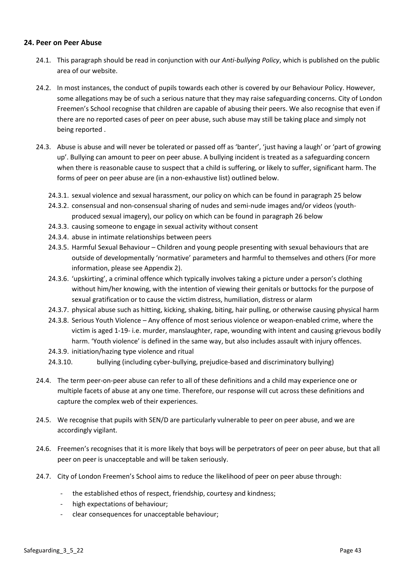## **24. Peer on Peer Abuse**

- 24.1. This paragraph should be read in conjunction with our *Anti-bullying Policy*, which is published on the public area of our website.
- 24.2. In most instances, the conduct of pupils towards each other is covered by our Behaviour Policy. However, some allegations may be of such a serious nature that they may raise safeguarding concerns. City of London Freemen's School recognise that children are capable of abusing their peers. We also recognise that even if there are no reported cases of peer on peer abuse, such abuse may still be taking place and simply not being reported .
- 24.3. Abuse is abuse and will never be tolerated or passed off as 'banter', 'just having a laugh' or 'part of growing up'. Bullying can amount to peer on peer abuse. A bullying incident is treated as a safeguarding concern when there is reasonable cause to suspect that a child is suffering, or likely to suffer, significant harm. The forms of peer on peer abuse are (in a non-exhaustive list) outlined below.
	- 24.3.1. sexual violence and sexual harassment, our policy on which can be found in paragraph 25 below
	- 24.3.2. consensual and non-consensual sharing of nudes and semi-nude images and/or videos (youthproduced sexual imagery), our policy on which can be found in paragraph 26 below
	- 24.3.3. causing someone to engage in sexual activity without consent
	- 24.3.4. abuse in intimate relationships between peers
	- 24.3.5. Harmful Sexual Behaviour Children and young people presenting with sexual behaviours that are outside of developmentally 'normative' parameters and harmful to themselves and others (For more information, please see Appendix 2).
	- 24.3.6. 'upskirting', a criminal offence which typically involves taking a picture under a person's clothing without him/her knowing, with the intention of viewing their genitals or buttocks for the purpose of sexual gratification or to cause the victim distress, humiliation, distress or alarm
	- 24.3.7. physical abuse such as hitting, kicking, shaking, biting, hair pulling, or otherwise causing physical harm
	- 24.3.8. Serious Youth Violence Any offence of most serious violence or weapon-enabled crime, where the victim is aged 1-19- i.e. murder, manslaughter, rape, wounding with intent and causing grievous bodily harm. 'Youth violence' is defined in the same way, but also includes assault with injury offences.
	- 24.3.9. initiation/hazing type violence and ritual
	- 24.3.10. bullying (including cyber-bullying, prejudice-based and discriminatory bullying)
- 24.4. The term peer-on-peer abuse can refer to all of these definitions and a child may experience one or multiple facets of abuse at any one time. Therefore, our response will cut across these definitions and capture the complex web of their experiences.
- 24.5. We recognise that pupils with SEN/D are particularly vulnerable to peer on peer abuse, and we are accordingly vigilant.
- 24.6. Freemen's recognises that it is more likely that boys will be perpetrators of peer on peer abuse, but that all peer on peer is unacceptable and will be taken seriously.
- 24.7. City of London Freemen's School aims to reduce the likelihood of peer on peer abuse through:
	- the established ethos of respect, friendship, courtesy and kindness;
	- high expectations of behaviour;
	- clear consequences for unacceptable behaviour;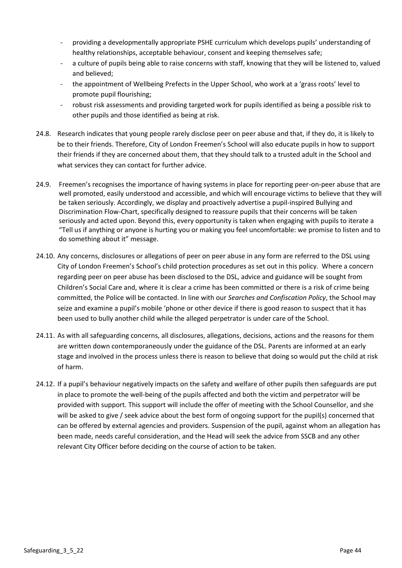- providing a developmentally appropriate PSHE curriculum which develops pupils' understanding of healthy relationships, acceptable behaviour, consent and keeping themselves safe;
- a culture of pupils being able to raise concerns with staff, knowing that they will be listened to, valued and believed;
- the appointment of Wellbeing Prefects in the Upper School, who work at a 'grass roots' level to promote pupil flourishing;
- robust risk assessments and providing targeted work for pupils identified as being a possible risk to other pupils and those identified as being at risk.
- 24.8. Research indicates that young people rarely disclose peer on peer abuse and that, if they do, it is likely to be to their friends. Therefore, City of London Freemen's School will also educate pupils in how to support their friends if they are concerned about them, that they should talk to a trusted adult in the School and what services they can contact for further advice.
- 24.9. Freemen's recognises the importance of having systems in place for reporting peer-on-peer abuse that are well promoted, easily understood and accessible, and which will encourage victims to believe that they will be taken seriously. Accordingly, we display and proactively advertise a pupil-inspired Bullying and Discrimination Flow-Chart, specifically designed to reassure pupils that their concerns will be taken seriously and acted upon. Beyond this, every opportunity is taken when engaging with pupils to iterate a "Tell us if anything or anyone is hurting you or making you feel uncomfortable: we promise to listen and to do something about it" message.
- 24.10. Any concerns, disclosures or allegations of peer on peer abuse in any form are referred to the DSL using City of London Freemen's School's child protection procedures as set out in this policy. Where a concern regarding peer on peer abuse has been disclosed to the DSL, advice and guidance will be sought from Children's Social Care and, where it is clear a crime has been committed or there is a risk of crime being committed, the Police will be contacted. In line with our *Searches and Confiscation Policy*, the School may seize and examine a pupil's mobile 'phone or other device if there is good reason to suspect that it has been used to bully another child while the alleged perpetrator is under care of the School.
- 24.11. As with all safeguarding concerns, all disclosures, allegations, decisions, actions and the reasons for them are written down contemporaneously under the guidance of the DSL. Parents are informed at an early stage and involved in the process unless there is reason to believe that doing so would put the child at risk of harm.
- 24.12. If a pupil's behaviour negatively impacts on the safety and welfare of other pupils then safeguards are put in place to promote the well-being of the pupils affected and both the victim and perpetrator will be provided with support. This support will include the offer of meeting with the School Counsellor, and she will be asked to give / seek advice about the best form of ongoing support for the pupil(s) concerned that can be offered by external agencies and providers. Suspension of the pupil, against whom an allegation has been made, needs careful consideration, and the Head will seek the advice from SSCB and any other relevant City Officer before deciding on the course of action to be taken.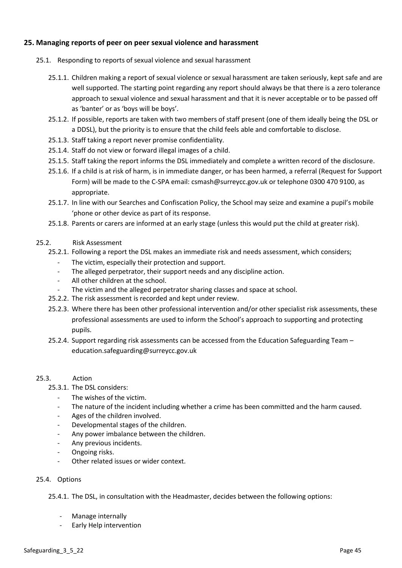# **25. Managing reports of peer on peer sexual violence and harassment**

- 25.1. Responding to reports of sexual violence and sexual harassment
	- 25.1.1. Children making a report of sexual violence or sexual harassment are taken seriously, kept safe and are well supported. The starting point regarding any report should always be that there is a zero tolerance approach to sexual violence and sexual harassment and that it is never acceptable or to be passed off as 'banter' or as 'boys will be boys'.
	- 25.1.2. If possible, reports are taken with two members of staff present (one of them ideally being the DSL or a DDSL), but the priority is to ensure that the child feels able and comfortable to disclose.
	- 25.1.3. Staff taking a report never promise confidentiality.
	- 25.1.4. Staff do not view or forward illegal images of a child.
	- 25.1.5. Staff taking the report informs the DSL immediately and complete a written record of the disclosure.
	- 25.1.6. If a child is at risk of harm, is in immediate danger, or has been harmed, a referral (Request for Support Form) will be made to the C-SPA email[: csmash@surreycc.gov.uk](mailto:csmash@surreycc.gov.uk) or telephone 0300 470 9100, as appropriate.
	- 25.1.7. In line with our Searches and Confiscation Policy, the School may seize and examine a pupil's mobile 'phone or other device as part of its response.
	- 25.1.8. Parents or carers are informed at an early stage (unless this would put the child at greater risk).
- 25.2. Risk Assessment
	- 25.2.1. Following a report the DSL makes an immediate risk and needs assessment, which considers;
		- The victim, especially their protection and support.
		- The alleged perpetrator, their support needs and any discipline action.
		- All other children at the school.
		- The victim and the alleged perpetrator sharing classes and space at school.
	- 25.2.2. The risk assessment is recorded and kept under review.
	- 25.2.3. Where there has been other professional intervention and/or other specialist risk assessments, these professional assessments are used to inform the School's approach to supporting and protecting pupils.
	- 25.2.4. Support regarding risk assessments can be accessed from th[e Education Safeguarding Team](https://www.surreycc.gov.uk/schools-and-learning/teachers-and-education-staff/educational-advice-and-support-for-teachers/education-safeguarding-in-surrey-schools-and-learning) [education.safeguarding@surreycc.gov.uk](mailto:education.safeguarding@surreycc.gov.uk)

### 25.3. Action

- 25.3.1. The DSL considers:
	- The wishes of the victim.
	- The nature of the incident including whether a crime has been committed and the harm caused.
	- Ages of the children involved.
	- Developmental stages of the children.
	- Any power imbalance between the children.
	- Any previous incidents.
	- Ongoing risks.
	- Other related issues or wider context.
- 25.4. Options

25.4.1. The DSL, in consultation with the Headmaster, decides between the following options:

- Manage internally
- Early Help intervention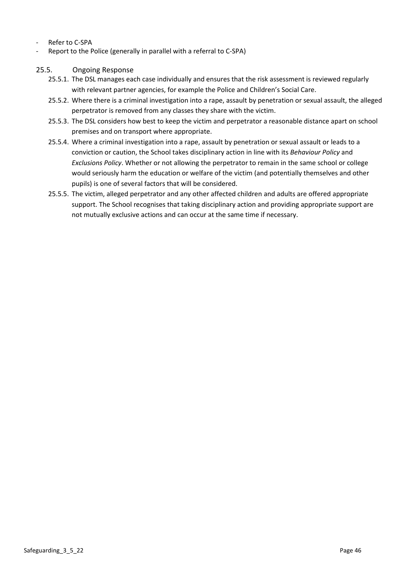- Refer to C-SPA
- Report to the Police (generally in parallel with a referral to C-SPA)

## 25.5. Ongoing Response

- 25.5.1. The DSL manages each case individually and ensures that the risk assessment is reviewed regularly with relevant partner agencies, for example the Police and Children's Social Care.
- 25.5.2. Where there is a criminal investigation into a rape, assault by penetration or sexual assault, the alleged perpetrator is removed from any classes they share with the victim.
- 25.5.3. The DSL considers how best to keep the victim and perpetrator a reasonable distance apart on school premises and on transport where appropriate.
- 25.5.4. Where a criminal investigation into a rape, assault by penetration or sexual assault or leads to a conviction or caution, the School takes disciplinary action in line with its *Behaviour Policy* and *Exclusions Policy*. Whether or not allowing the perpetrator to remain in the same school or college would seriously harm the education or welfare of the victim (and potentially themselves and other pupils) is one of several factors that will be considered.
- 25.5.5. The victim, alleged perpetrator and any other affected children and adults are offered appropriate support. The School recognises that taking disciplinary action and providing appropriate support are not mutually exclusive actions and can occur at the same time if necessary.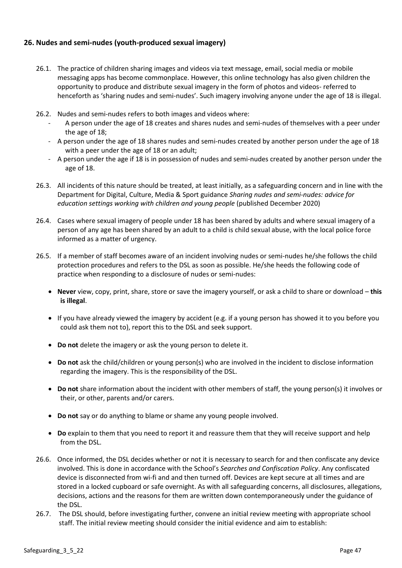# **26. Nudes and semi-nudes (youth-produced sexual imagery)**

- 26.1. The practice of children sharing images and videos via text message, email, social media or mobile messaging apps has become commonplace. However, this online technology has also given children the opportunity to produce and distribute sexual imagery in the form of photos and videos- referred to henceforth as 'sharing nudes and semi-nudes'. Such imagery involving anyone under the age of 18 is illegal.
- 26.2. Nudes and semi-nudes refers to both images and videos where:
	- A person under the age of 18 creates and shares nudes and semi-nudes of themselves with a peer under the age of 18;
	- A person under the age of 18 shares nudes and semi-nudes created by another person under the age of 18 with a peer under the age of 18 or an adult;
	- A person under the age if 18 is in possession of nudes and semi-nudes created by another person under the age of 18.
- 26.3. All incidents of this nature should be treated, at least initially, as a safeguarding concern and in line with the Department for Digital, Culture, Media & Sport guidance *Sharing nudes and semi-nudes: advice for education settings working with children and young people* (published December 2020)
- 26.4. Cases where sexual imagery of people under 18 has been shared by adults and where sexual imagery of a person of any age has been shared by an adult to a child is child sexual abuse, with the local police force informed as a matter of urgency.
- 26.5. If a member of staff becomes aware of an incident involving nudes or semi-nudes he/she follows the child protection procedures and refers to the DSL as soon as possible. He/she heeds the following code of practice when responding to a disclosure of nudes or semi-nudes:
	- **Never** view, copy, print, share, store or save the imagery yourself, or ask a child to share or download **this is illegal**.
	- If you have already viewed the imagery by accident (e.g. if a young person has showed it to you before you could ask them not to), report this to the DSL and seek support.
	- **Do not** delete the imagery or ask the young person to delete it.
	- **Do not** ask the child/children or young person(s) who are involved in the incident to disclose information regarding the imagery. This is the responsibility of the DSL.
	- **Do not** share information about the incident with other members of staff, the young person(s) it involves or their, or other, parents and/or carers.
	- **Do not** say or do anything to blame or shame any young people involved.
	- **Do** explain to them that you need to report it and reassure them that they will receive support and help from the DSL.
- 26.6. Once informed, the DSL decides whether or not it is necessary to search for and then confiscate any device involved. This is done in accordance with the School's *Searches and Confiscation Policy*. Any confiscated device is disconnected from wi-fi and and then turned off. Devices are kept secure at all times and are stored in a locked cupboard or safe overnight. As with all safeguarding concerns, all disclosures, allegations, decisions, actions and the reasons for them are written down contemporaneously under the guidance of the DSL.
- 26.7. The DSL should, before investigating further, convene an initial review meeting with appropriate school staff. The initial review meeting should consider the initial evidence and aim to establish: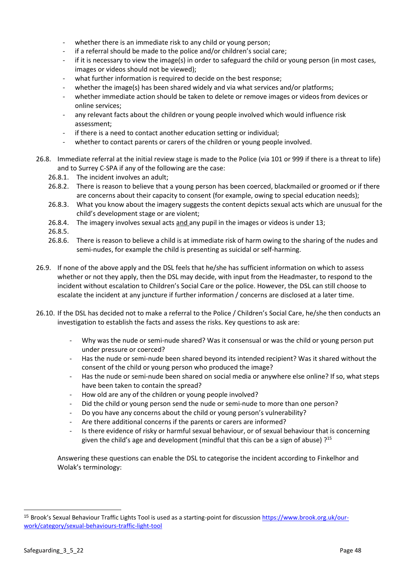- whether there is an immediate risk to any child or young person:
- if a referral should be made to the police and/or children's social care;
- if it is necessary to view the image(s) in order to safeguard the child or young person (in most cases, images or videos should not be viewed);
- what further information is required to decide on the best response;
- whether the image(s) has been shared widely and via what services and/or platforms;
- whether immediate action should be taken to delete or remove images or videos from devices or online services;
- any relevant facts about the children or young people involved which would influence risk assessment;
- if there is a need to contact another education setting or individual:
- whether to contact parents or carers of the children or young people involved.
- 26.8. Immediate referral at the initial review stage is made to the Police (via 101 or 999 if there is a threat to life) and to Surrey C-SPA if any of the following are the case:
	- 26.8.1. The incident involves an adult;
	- 26.8.2. There is reason to believe that a young person has been coerced, blackmailed or groomed or if there are concerns about their capacity to consent (for example, owing to special education needs);
	- 26.8.3. What you know about the imagery suggests the content depicts sexual acts which are unusual for the child's development stage or are violent;
	- 26.8.4. The imagery involves sexual acts and any pupil in the images or videos is under 13;
	- 26.8.5.
	- 26.8.6. There is reason to believe a child is at immediate risk of harm owing to the sharing of the nudes and semi-nudes, for example the child is presenting as suicidal or self-harming.
- 26.9. If none of the above apply and the DSL feels that he/she has sufficient information on which to assess whether or not they apply, then the DSL may decide, with input from the Headmaster, to respond to the incident without escalation to Children's Social Care or the police. However, the DSL can still choose to escalate the incident at any juncture if further information / concerns are disclosed at a later time.
- 26.10. If the DSL has decided not to make a referral to the Police / Children's Social Care, he/she then conducts an investigation to establish the facts and assess the risks. Key questions to ask are:
	- Why was the nude or semi-nude shared? Was it consensual or was the child or young person put under pressure or coerced?
	- Has the nude or semi-nude been shared beyond its intended recipient? Was it shared without the consent of the child or young person who produced the image?
	- Has the nude or semi-nude been shared on social media or anywhere else online? If so, what steps have been taken to contain the spread?
	- How old are any of the children or young people involved?
	- Did the child or young person send the nude or semi-nude to more than one person?
	- Do you have any concerns about the child or young person's vulnerability?
	- Are there additional concerns if the parents or carers are informed?
	- Is there evidence of risky or harmful sexual behaviour, or of sexual behaviour that is concerning given the child's age and development (mindful that this can be a sign of abuse)  $?^{15}$

Answering these questions can enable the DSL to categorise the incident according to Finkelhor and Wolak's terminology:

<sup>&</sup>lt;sup>15</sup> Brook's Sexual Behaviour Traffic Lights Tool is used as a starting-point for discussion [https://www.brook.org.uk/our](https://www.brook.org.uk/our-work/category/sexual-behaviours-traffic-light-tool)[work/category/sexual-behaviours-traffic-light-tool](https://www.brook.org.uk/our-work/category/sexual-behaviours-traffic-light-tool)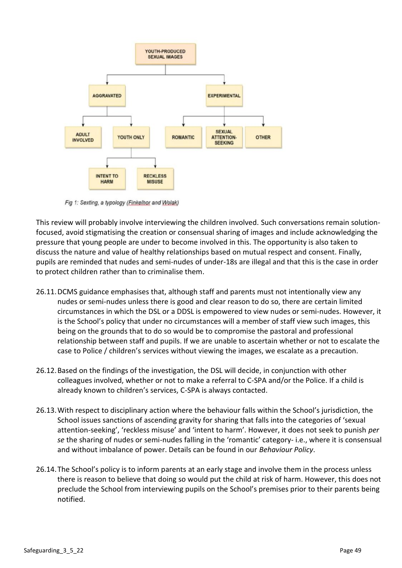

Fig 1: Sexting, a typology (Finkelhor and Wolak)

This review will probably involve interviewing the children involved. Such conversations remain solutionfocused, avoid stigmatising the creation or consensual sharing of images and include acknowledging the pressure that young people are under to become involved in this. The opportunity is also taken to discuss the nature and value of healthy relationships based on mutual respect and consent. Finally, pupils are reminded that nudes and semi-nudes of under-18s are illegal and that this is the case in order to protect children rather than to criminalise them.

- 26.11.DCMS guidance emphasises that, although staff and parents must not intentionally view any nudes or semi-nudes unless there is good and clear reason to do so, there are certain limited circumstances in which the DSL or a DDSL is empowered to view nudes or semi-nudes. However, it is the School's policy that under no circumstances will a member of staff view such images, this being on the grounds that to do so would be to compromise the pastoral and professional relationship between staff and pupils. If we are unable to ascertain whether or not to escalate the case to Police / children's services without viewing the images, we escalate as a precaution.
- 26.12.Based on the findings of the investigation, the DSL will decide, in conjunction with other colleagues involved, whether or not to make a referral to C-SPA and/or the Police. If a child is already known to children's services, C-SPA is always contacted.
- 26.13.With respect to disciplinary action where the behaviour falls within the School's jurisdiction, the School issues sanctions of ascending gravity for sharing that falls into the categories of 'sexual attention-seeking', 'reckless misuse' and 'intent to harm'. However, it does not seek to punish *per se* the sharing of nudes or semi-nudes falling in the 'romantic' category- i.e., where it is consensual and without imbalance of power. Details can be found in our *Behaviour Policy*.
- 26.14.The School's policy is to inform parents at an early stage and involve them in the process unless there is reason to believe that doing so would put the child at risk of harm. However, this does not preclude the School from interviewing pupils on the School's premises prior to their parents being notified.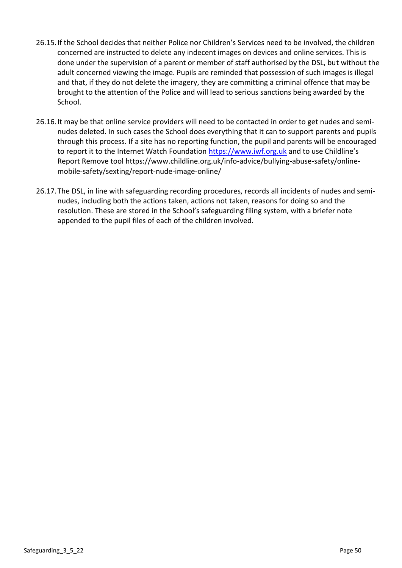- 26.15.If the School decides that neither Police nor Children's Services need to be involved, the children concerned are instructed to delete any indecent images on devices and online services. This is done under the supervision of a parent or member of staff authorised by the DSL, but without the adult concerned viewing the image. Pupils are reminded that possession of such images is illegal and that, if they do not delete the imagery, they are committing a criminal offence that may be brought to the attention of the Police and will lead to serious sanctions being awarded by the School.
- 26.16.It may be that online service providers will need to be contacted in order to get nudes and seminudes deleted. In such cases the School does everything that it can to support parents and pupils through this process. If a site has no reporting function, the pupil and parents will be encouraged to report it to the Internet Watch Foundation [https://www.iwf.org.uk](https://www.iwf.org.uk/) and to use Childline's Report Remove tool https://www.childline.org.uk/info-advice/bullying-abuse-safety/onlinemobile-safety/sexting/report-nude-image-online/
- 26.17.The DSL, in line with safeguarding recording procedures, records all incidents of nudes and seminudes, including both the actions taken, actions not taken, reasons for doing so and the resolution. These are stored in the School's safeguarding filing system, with a briefer note appended to the pupil files of each of the children involved.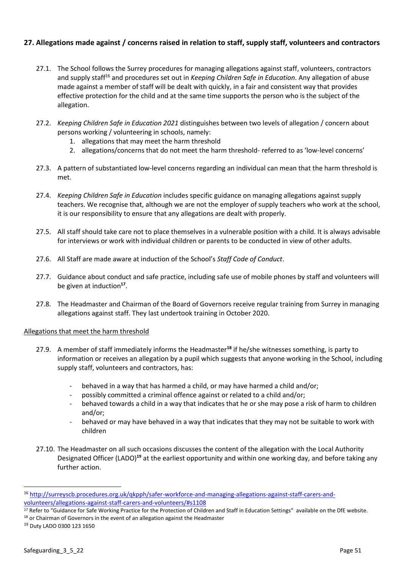# **27. Allegations made against / concerns raised in relation to staff, supply staff, volunteers and contractors**

- 27.1. The School follows the Surrey procedures for managing allegations against staff, volunteers, contractors and supply staff<sup>16</sup> and procedures set out in *Keeping Children Safe in Education*. Any allegation of abuse made against a member of staff will be dealt with quickly, in a fair and consistent way that provides effective protection for the child and at the same time supports the person who is the subject of the allegation.
- 27.2. *Keeping Children Safe in Education 2021* distinguishes between two levels of allegation / concern about persons working / volunteering in schools, namely:
	- 1. allegations that may meet the harm threshold
	- 2. allegations/concerns that do not meet the harm threshold- referred to as 'low-level concerns'
- 27.3. A pattern of substantiated low-level concerns regarding an individual can mean that the harm threshold is met.
- 27.4. *Keeping Children Safe in Education* includes specific guidance on managing allegations against supply teachers. We recognise that, although we are not the employer of supply teachers who work at the school, it is our responsibility to ensure that any allegations are dealt with properly.
- 27.5. All staff should take care not to place themselves in a vulnerable position with a child. It is always advisable for interviews or work with individual children or parents to be conducted in view of other adults.
- 27.6. All Staff are made aware at induction of the School's *Staff Code of Conduct*.
- 27.7. Guidance about conduct and safe practice, including safe use of mobile phones by staff and volunteers will be given at induction<sup>17</sup>.
- 27.8. The Headmaster and Chairman of the Board of Governors receive regular training from Surrey in managing allegations against staff. They last undertook training in October 2020.

### Allegations that meet the harm threshold

- 27.9. A member of staff immediately informs the Headmaster**<sup>18</sup>** if he/she witnesses something, is party to information or receives an allegation by a pupil which suggests that anyone working in the School, including supply staff, volunteers and contractors, has:
	- behaved in a way that has harmed a child, or may have harmed a child and/or;
	- possibly committed a criminal offence against or related to a child and/or;
	- behaved towards a child in a way that indicates that he or she may pose a risk of harm to children and/or;
	- behaved or may have behaved in a way that indicates that they may not be suitable to work with children
- 27.10. The Headmaster on all such occasions discusses the content of the allegation with the Local Authority Designated Officer (LADO)**<sup>19</sup>** at the earliest opportunity and within one working day, and before taking any further action.

<sup>16</sup> [http://surreyscb.procedures.org.uk/qkpph/safer-workforce-and-managing-allegations-against-staff-carers-and](http://surreyscb.procedures.org.uk/qkpph/safer-workforce-and-managing-allegations-against-staff-carers-and-volunteers/allegations-against-staff-carers-and-volunteers/#s1108)[volunteers/allegations-against-staff-carers-and-volunteers/#s1108](http://surreyscb.procedures.org.uk/qkpph/safer-workforce-and-managing-allegations-against-staff-carers-and-volunteers/allegations-against-staff-carers-and-volunteers/#s1108)

<sup>&</sup>lt;sup>17</sup> Refer to "Guidance for Safe Working Practice for the Protection of Children and Staff in Education Settings" available on the DfE website.  $18$  or Chairman of Governors in the event of an allegation against the Headmaster

<sup>19</sup> Duty LADO 0300 123 1650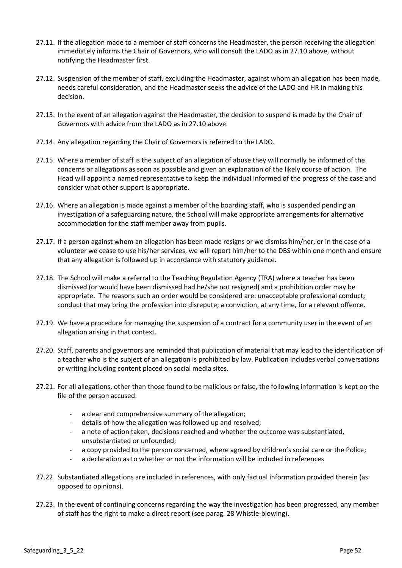- 27.11. If the allegation made to a member of staff concerns the Headmaster, the person receiving the allegation immediately informs the Chair of Governors, who will consult the LADO as in 27.10 above, without notifying the Headmaster first.
- 27.12. Suspension of the member of staff, excluding the Headmaster, against whom an allegation has been made, needs careful consideration, and the Headmaster seeks the advice of the LADO and HR in making this decision.
- 27.13. In the event of an allegation against the Headmaster, the decision to suspend is made by the Chair of Governors with advice from the LADO as in 27.10 above.
- 27.14. Any allegation regarding the Chair of Governors is referred to the LADO.
- 27.15. Where a member of staff is the subject of an allegation of abuse they will normally be informed of the concerns or allegations as soon as possible and given an explanation of the likely course of action. The Head will appoint a named representative to keep the individual informed of the progress of the case and consider what other support is appropriate.
- 27.16. Where an allegation is made against a member of the boarding staff, who is suspended pending an investigation of a safeguarding nature, the School will make appropriate arrangements for alternative accommodation for the staff member away from pupils.
- 27.17. If a person against whom an allegation has been made resigns or we dismiss him/her, or in the case of a volunteer we cease to use his/her services, we will report him/her to the DBS within one month and ensure that any allegation is followed up in accordance with statutory guidance.
- 27.18. The School will make a referral to the Teaching Regulation Agency (TRA) where a teacher has been dismissed (or would have been dismissed had he/she not resigned) and a prohibition order may be appropriate. The reasons such an order would be considered are: unacceptable professional conduct; conduct that may bring the profession into disrepute; a conviction, at any time, for a relevant offence.
- 27.19. We have a procedure for managing the suspension of a contract for a community user in the event of an allegation arising in that context.
- 27.20. Staff, parents and governors are reminded that publication of material that may lead to the identification of a teacher who is the subject of an allegation is prohibited by law. Publication includes verbal conversations or writing including content placed on social media sites.
- 27.21. For all allegations, other than those found to be malicious or false, the following information is kept on the file of the person accused:
	- a clear and comprehensive summary of the allegation;
	- details of how the allegation was followed up and resolved;
	- a note of action taken, decisions reached and whether the outcome was substantiated, unsubstantiated or unfounded;
	- a copy provided to the person concerned, where agreed by children's social care or the Police;
	- a declaration as to whether or not the information will be included in references
- 27.22. Substantiated allegations are included in references, with only factual information provided therein (as opposed to opinions).
- 27.23. In the event of continuing concerns regarding the way the investigation has been progressed, any member of staff has the right to make a direct report (see parag. 28 Whistle-blowing).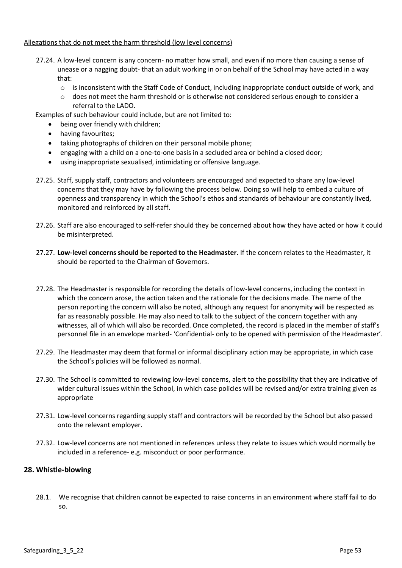### Allegations that do not meet the harm threshold (low level concerns)

- 27.24. A low-level concern is any concern- no matter how small, and even if no more than causing a sense of unease or a nagging doubt- that an adult working in or on behalf of the School may have acted in a way that:
	- o is inconsistent with the Staff Code of Conduct, including inappropriate conduct outside of work, and
	- o does not meet the harm threshold or is otherwise not considered serious enough to consider a referral to the LADO.

Examples of such behaviour could include, but are not limited to:

- being over friendly with children;
- having favourites;
- taking photographs of children on their personal mobile phone;
- engaging with a child on a one-to-one basis in a secluded area or behind a closed door;
- using inappropriate sexualised, intimidating or offensive language.
- 27.25. Staff, supply staff, contractors and volunteers are encouraged and expected to share any low-level concerns that they may have by following the process below. Doing so will help to embed a culture of openness and transparency in which the School's ethos and standards of behaviour are constantly lived, monitored and reinforced by all staff.
- 27.26. Staff are also encouraged to self-refer should they be concerned about how they have acted or how it could be misinterpreted.
- 27.27. **Low-level concerns should be reported to the Headmaster**. If the concern relates to the Headmaster, it should be reported to the Chairman of Governors.
- 27.28. The Headmaster is responsible for recording the details of low-level concerns, including the context in which the concern arose, the action taken and the rationale for the decisions made. The name of the person reporting the concern will also be noted, although any request for anonymity will be respected as far as reasonably possible. He may also need to talk to the subject of the concern together with any witnesses, all of which will also be recorded. Once completed, the record is placed in the member of staff's personnel file in an envelope marked- 'Confidential- only to be opened with permission of the Headmaster'.
- 27.29. The Headmaster may deem that formal or informal disciplinary action may be appropriate, in which case the School's policies will be followed as normal.
- 27.30. The School is committed to reviewing low-level concerns, alert to the possibility that they are indicative of wider cultural issues within the School, in which case policies will be revised and/or extra training given as appropriate
- 27.31. Low-level concerns regarding supply staff and contractors will be recorded by the School but also passed onto the relevant employer.
- 27.32. Low-level concerns are not mentioned in references unless they relate to issues which would normally be included in a reference- e.g. misconduct or poor performance.

### **28. Whistle-blowing**

28.1. We recognise that children cannot be expected to raise concerns in an environment where staff fail to do so.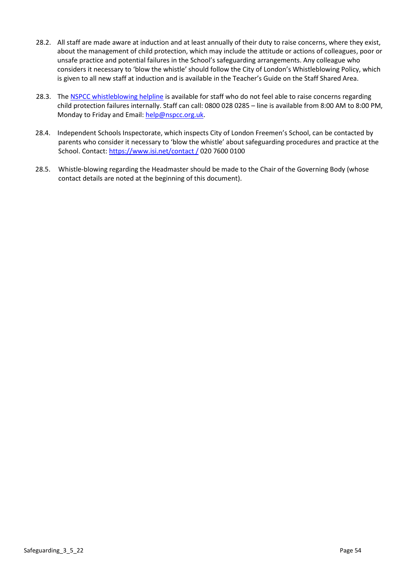- 28.2. All staff are made aware at induction and at least annually of their duty to raise concerns, where they exist, about the management of child protection, which may include the attitude or actions of colleagues, poor or unsafe practice and potential failures in the School's safeguarding arrangements. Any colleague who considers it necessary to 'blow the whistle' should follow the City of London's Whistleblowing Policy, which is given to all new staff at induction and is available in the Teacher's Guide on the Staff Shared Area.
- 28.3. The [NSPCC whistleblowing helpline](https://www.nspcc.org.uk/what-you-can-do/report-abuse/dedicated-helplines/whistleblowing-advice-line/) is available for staff who do not feel able to raise concerns regarding child protection failures internally. Staff can call: 0800 028 0285 – line is available from 8:00 AM to 8:00 PM, Monday to Friday and Email[: help@nspcc.org.uk.](mailto:help@nspcc.org.uk)
- 28.4. Independent Schools Inspectorate, which inspects City of London Freemen's School, can be contacted by parents who consider it necessary to 'blow the whistle' about safeguarding procedures and practice at the School. Contact[: https://www.isi.net/contact /](https://www.isi.net/contact%20/) 020 7600 0100
- 28.5. Whistle-blowing regarding the Headmaster should be made to the Chair of the Governing Body (whose contact details are noted at the beginning of this document).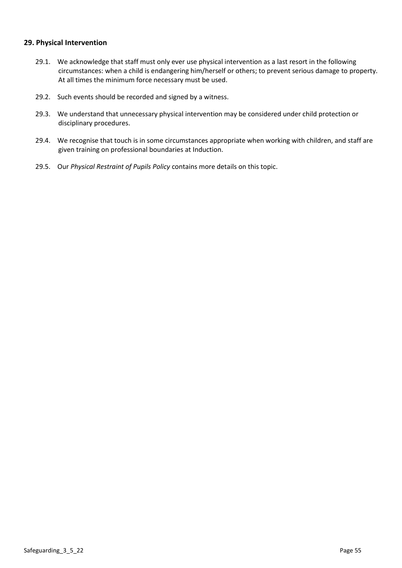## **29. Physical Intervention**

- 29.1. We acknowledge that staff must only ever use physical intervention as a last resort in the following circumstances: when a child is endangering him/herself or others; to prevent serious damage to property. At all times the minimum force necessary must be used.
- 29.2. Such events should be recorded and signed by a witness.
- 29.3. We understand that unnecessary physical intervention may be considered under child protection or disciplinary procedures.
- 29.4. We recognise that touch is in some circumstances appropriate when working with children, and staff are given training on professional boundaries at Induction.
- 29.5. Our *Physical Restraint of Pupils Policy* contains more details on this topic.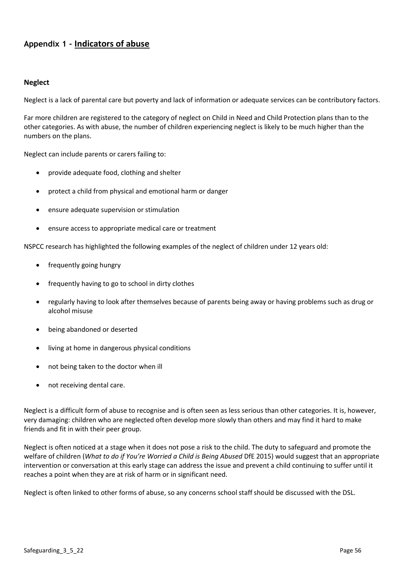# **Appendix 1 - Indicators of abuse**

## **Neglect**

Neglect is a lack of parental care but poverty and lack of information or adequate services can be contributory factors.

Far more children are registered to the category of neglect on Child in Need and Child Protection plans than to the other categories. As with abuse, the number of children experiencing neglect is likely to be much higher than the numbers on the plans.

Neglect can include parents or carers failing to:

- provide adequate food, clothing and shelter
- protect a child from physical and emotional harm or danger
- ensure adequate supervision or stimulation
- ensure access to appropriate medical care or treatment

NSPCC research has highlighted the following examples of the neglect of children under 12 years old:

- frequently going hungry
- frequently having to go to school in dirty clothes
- regularly having to look after themselves because of parents being away or having problems such as drug or alcohol misuse
- being abandoned or deserted
- living at home in dangerous physical conditions
- not being taken to the doctor when ill
- not receiving dental care.

Neglect is a difficult form of abuse to recognise and is often seen as less serious than other categories. It is, however, very damaging: children who are neglected often develop more slowly than others and may find it hard to make friends and fit in with their peer group.

Neglect is often noticed at a stage when it does not pose a risk to the child. The duty to safeguard and promote the welfare of children (*What to do if You're Worried a Child is Being Abused* DfE 2015) would suggest that an appropriate intervention or conversation at this early stage can address the issue and prevent a child continuing to suffer until it reaches a point when they are at risk of harm or in significant need.

Neglect is often linked to other forms of abuse, so any concerns school staff should be discussed with the DSL.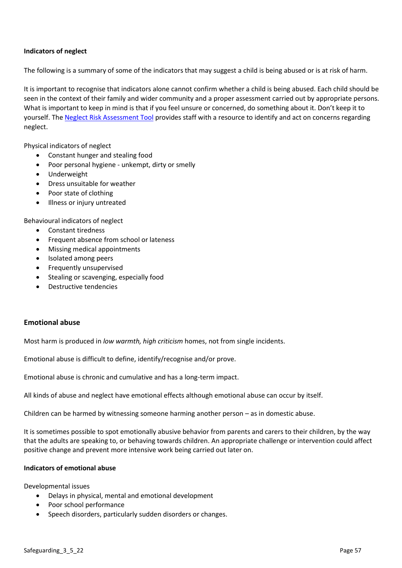### **Indicators of neglect**

The following is a summary of some of the indicators that may suggest a child is being abused or is at risk of harm.

It is important to recognise that indicators alone cannot confirm whether a child is being abused. Each child should be seen in the context of their family and wider community and a proper assessment carried out by appropriate persons. What is important to keep in mind is that if you feel unsure or concerned, do something about it. Don't keep it to yourself. The [Neglect Risk Assessment Tool](https://www.surreyscp.org.uk/wp-content/uploads/2021/01/Surrey-Neglect-Screening-tool-Jan-2021.pdf) provides staff with a resource to identify and act on concerns regarding neglect.

Physical indicators of neglect

- Constant hunger and stealing food
- Poor personal hygiene unkempt, dirty or smelly
- Underweight
- Dress unsuitable for weather
- Poor state of clothing
- Illness or injury untreated

Behavioural indicators of neglect

- Constant tiredness
- Frequent absence from school or lateness
- Missing medical appointments
- Isolated among peers
- Frequently unsupervised
- Stealing or scavenging, especially food
- Destructive tendencies

### **Emotional abuse**

Most harm is produced in *low warmth, high criticism* homes, not from single incidents.

Emotional abuse is difficult to define, identify/recognise and/or prove.

Emotional abuse is chronic and cumulative and has a long-term impact.

All kinds of abuse and neglect have emotional effects although emotional abuse can occur by itself.

Children can be harmed by witnessing someone harming another person – as in domestic abuse.

It is sometimes possible to spot emotionally abusive behavior from parents and carers to their children, by the way that the adults are speaking to, or behaving towards children. An appropriate challenge or intervention could affect positive change and prevent more intensive work being carried out later on.

### **Indicators of emotional abuse**

Developmental issues

- Delays in physical, mental and emotional development
- Poor school performance
- Speech disorders, particularly sudden disorders or changes.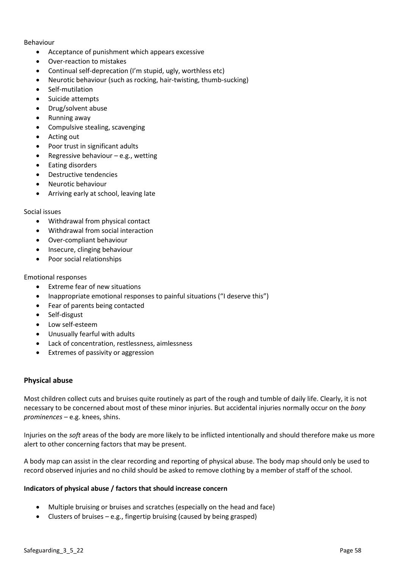#### Behaviour

- Acceptance of punishment which appears excessive
- Over-reaction to mistakes
- Continual self-deprecation (I'm stupid, ugly, worthless etc)
- Neurotic behaviour (such as rocking, hair-twisting, thumb-sucking)
- Self-mutilation
- Suicide attempts
- Drug/solvent abuse
- Running away
- Compulsive stealing, scavenging
- Acting out
- Poor trust in significant adults
- Regressive behaviour  $-e.g.,$  wetting
- Eating disorders
- Destructive tendencies
- Neurotic behaviour
- Arriving early at school, leaving late

### Social issues

- Withdrawal from physical contact
- Withdrawal from social interaction
- Over-compliant behaviour
- Insecure, clinging behaviour
- Poor social relationships

### Emotional responses

- Extreme fear of new situations
- Inappropriate emotional responses to painful situations ("I deserve this")
- Fear of parents being contacted
- Self-disgust
- Low self-esteem
- Unusually fearful with adults
- Lack of concentration, restlessness, aimlessness
- Extremes of passivity or aggression

## **Physical abuse**

Most children collect cuts and bruises quite routinely as part of the rough and tumble of daily life. Clearly, it is not necessary to be concerned about most of these minor injuries. But accidental injuries normally occur on the *bony prominences* – e.g. knees, shins.

Injuries on the *soft* areas of the body are more likely to be inflicted intentionally and should therefore make us more alert to other concerning factors that may be present.

A body map can assist in the clear recording and reporting of physical abuse. The body map should only be used to record observed injuries and no child should be asked to remove clothing by a member of staff of the school.

### **Indicators of physical abuse / factors that should increase concern**

- Multiple bruising or bruises and scratches (especially on the head and face)
- Clusters of bruises  $-e.g.,$  fingertip bruising (caused by being grasped)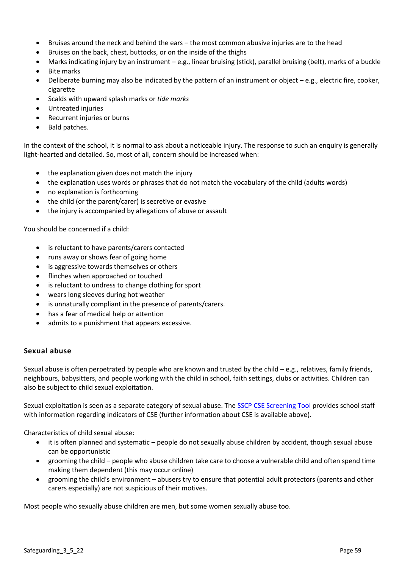- Bruises around the neck and behind the ears the most common abusive injuries are to the head
- Bruises on the back, chest, buttocks, or on the inside of the thighs
- Marks indicating injury by an instrument e.g., linear bruising (stick), parallel bruising (belt), marks of a buckle
- Bite marks
- Deliberate burning may also be indicated by the pattern of an instrument or object e.g., electric fire, cooker, cigarette
- Scalds with upward splash marks or *tide marks*
- Untreated injuries
- Recurrent injuries or burns
- Bald patches.

In the context of the school, it is normal to ask about a noticeable injury. The response to such an enquiry is generally light-hearted and detailed. So, most of all, concern should be increased when:

- the explanation given does not match the injury
- the explanation uses words or phrases that do not match the vocabulary of the child (adults words)
- no explanation is forthcoming
- the child (or the parent/carer) is secretive or evasive
- the injury is accompanied by allegations of abuse or assault

You should be concerned if a child:

- is reluctant to have parents/carers contacted
- runs away or shows fear of going home
- is aggressive towards themselves or others
- flinches when approached or touched
- is reluctant to undress to change clothing for sport
- wears long sleeves during hot weather
- is unnaturally compliant in the presence of parents/carers.
- has a fear of medical help or attention
- admits to a punishment that appears excessive.

### **Sexual abuse**

Sexual abuse is often perpetrated by people who are known and trusted by the child  $-e.g.,$  relatives, family friends, neighbours, babysitters, and people working with the child in school, faith settings, clubs or activities. Children can also be subject to child sexual exploitation.

Sexual exploitation is seen as a separate category of sexual abuse. The **SSCP CSE Screening Tool** provides school staff with information regarding indicators of CSE (further information about CSE is available above).

Characteristics of child sexual abuse:

- it is often planned and systematic people do not sexually abuse children by accident, though sexual abuse can be opportunistic
- grooming the child people who abuse children take care to choose a vulnerable child and often spend time making them dependent (this may occur online)
- grooming the child's environment abusers try to ensure that potential adult protectors (parents and other carers especially) are not suspicious of their motives.

Most people who sexually abuse children are men, but some women sexually abuse too.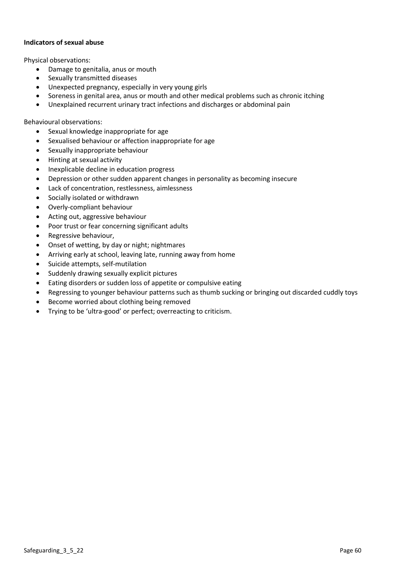### **Indicators of sexual abuse**

Physical observations:

- Damage to genitalia, anus or mouth
- Sexually transmitted diseases
- Unexpected pregnancy, especially in very young girls
- Soreness in genital area, anus or mouth and other medical problems such as chronic itching
- Unexplained recurrent urinary tract infections and discharges or abdominal pain

Behavioural observations:

- Sexual knowledge inappropriate for age
- Sexualised behaviour or affection inappropriate for age
- Sexually inappropriate behaviour
- Hinting at sexual activity
- Inexplicable decline in education progress
- Depression or other sudden apparent changes in personality as becoming insecure
- Lack of concentration, restlessness, aimlessness
- Socially isolated or withdrawn
- Overly-compliant behaviour
- Acting out, aggressive behaviour
- Poor trust or fear concerning significant adults
- Regressive behaviour,
- Onset of wetting, by day or night; nightmares
- Arriving early at school, leaving late, running away from home
- Suicide attempts, self-mutilation
- Suddenly drawing sexually explicit pictures
- Eating disorders or sudden loss of appetite or compulsive eating
- Regressing to younger behaviour patterns such as thumb sucking or bringing out discarded cuddly toys
- Become worried about clothing being removed
- Trying to be 'ultra-good' or perfect; overreacting to criticism.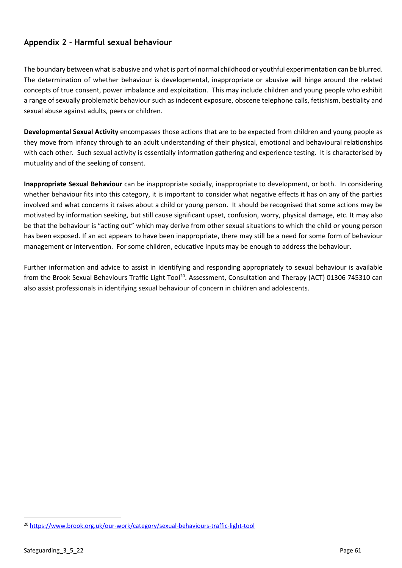# **Appendix 2** *-* **Harmful sexual behaviour**

The boundary between what is abusive and what is part of normal childhood or youthful experimentation can be blurred. The determination of whether behaviour is developmental, inappropriate or abusive will hinge around the related concepts of true consent, power imbalance and exploitation. This may include children and young people who exhibit a range of sexually problematic behaviour such as indecent exposure, obscene telephone calls, fetishism, bestiality and sexual abuse against adults, peers or children.

**Developmental Sexual Activity** encompasses those actions that are to be expected from children and young people as they move from infancy through to an adult understanding of their physical, emotional and behavioural relationships with each other. Such sexual activity is essentially information gathering and experience testing. It is characterised by mutuality and of the seeking of consent.

**Inappropriate Sexual Behaviour** can be inappropriate socially, inappropriate to development, or both. In considering whether behaviour fits into this category, it is important to consider what negative effects it has on any of the parties involved and what concerns it raises about a child or young person. It should be recognised that some actions may be motivated by information seeking, but still cause significant upset, confusion, worry, physical damage, etc. It may also be that the behaviour is "acting out" which may derive from other sexual situations to which the child or young person has been exposed. If an act appears to have been inappropriate, there may still be a need for some form of behaviour management or intervention. For some children, educative inputs may be enough to address the behaviour.

Further information and advice to assist in identifying and responding appropriately to sexual behaviour is available from the Brook Sexual Behaviours Traffic Light Tool<sup>20</sup>. Assessment, Consultation and Therapy (ACT) 01306 745310 can also assist professionals in identifying sexual behaviour of concern in children and adolescents.

<sup>20</sup> <https://www.brook.org.uk/our-work/category/sexual-behaviours-traffic-light-tool>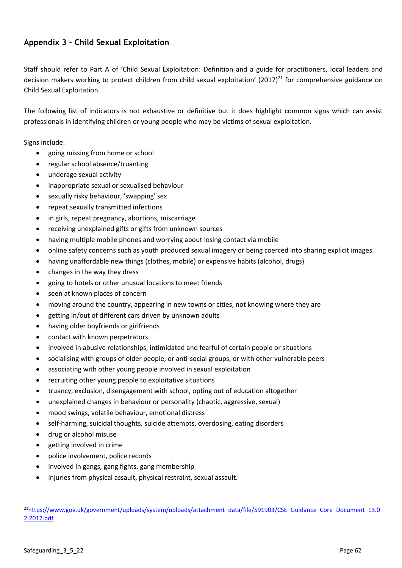# **Appendix 3 - Child Sexual Exploitation**

Staff should refer to Part A of 'Child Sexual Exploitation: Definition and a guide for practitioners, local leaders and decision makers working to protect children from child sexual exploitation' (2017)<sup>21</sup> for comprehensive guidance on Child Sexual Exploitation.

The following list of indicators is not exhaustive or definitive but it does highlight common signs which can assist professionals in identifying children or young people who may be victims of sexual exploitation.

Signs include:

- going missing from home or school
- regular school absence/truanting
- underage sexual activity
- inappropriate sexual or sexualised behaviour
- sexually risky behaviour, 'swapping' sex
- repeat sexually transmitted infections
- in girls, repeat pregnancy, abortions, miscarriage
- receiving unexplained gifts or gifts from unknown sources
- having multiple mobile phones and worrying about losing contact via mobile
- online safety concerns such as youth produced sexual imagery or being coerced into sharing explicit images.
- having unaffordable new things (clothes, mobile) or expensive habits (alcohol, drugs)
- changes in the way they dress
- going to hotels or other unusual locations to meet friends
- seen at known places of concern
- moving around the country, appearing in new towns or cities, not knowing where they are
- getting in/out of different cars driven by unknown adults
- having older boyfriends or girlfriends
- contact with known perpetrators
- involved in abusive relationships, intimidated and fearful of certain people or situations
- socialising with groups of older people, or anti-social groups, or with other vulnerable peers
- associating with other young people involved in sexual exploitation
- recruiting other young people to exploitative situations
- truancy, exclusion, disengagement with school, opting out of education altogether
- unexplained changes in behaviour or personality (chaotic, aggressive, sexual)
- mood swings, volatile behaviour, emotional distress
- self-harming, suicidal thoughts, suicide attempts, overdosing, eating disorders
- drug or alcohol misuse
- getting involved in crime
- police involvement, police records
- involved in gangs, gang fights, gang membership
- injuries from physical assault, physical restraint, sexual assault.

 $^{21}$ [https://www.gov.uk/government/uploads/system/uploads/attachment\\_data/file/591903/CSE\\_Guidance\\_Core\\_Document\\_13.0](https://www.gov.uk/government/uploads/system/uploads/attachment_data/file/591903/CSE_Guidance_Core_Document_13.02.2017.pdf) [2.2017.pdf](https://www.gov.uk/government/uploads/system/uploads/attachment_data/file/591903/CSE_Guidance_Core_Document_13.02.2017.pdf)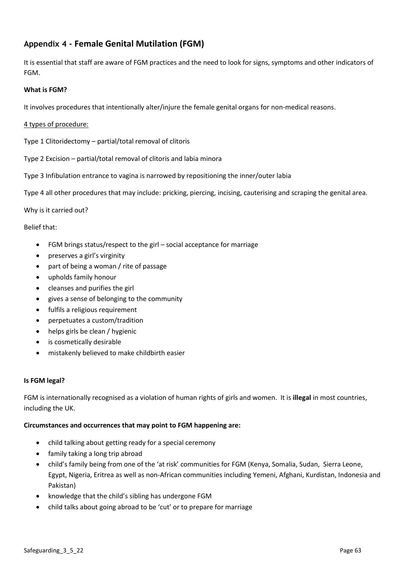# **Appendix 4 - Female Genital Mutilation (FGM)**

It is essential that staff are aware of FGM practices and the need to look for signs, symptoms and other indicators of FGM.

### **What is FGM?**

It involves procedures that intentionally alter/injure the female genital organs for non-medical reasons.

### 4 types of procedure:

Type 1 Clitoridectomy – partial/total removal of clitoris

Type 2 Excision – partial/total removal of clitoris and labia minora

Type 3 Infibulation entrance to vagina is narrowed by repositioning the inner/outer labia

Type 4 all other procedures that may include: pricking, piercing, incising, cauterising and scraping the genital area.

Why is it carried out?

Belief that:

- FGM brings status/respect to the girl social acceptance for marriage
- preserves a girl's virginity
- part of being a woman / rite of passage
- upholds family honour
- cleanses and purifies the girl
- gives a sense of belonging to the community
- fulfils a religious requirement
- perpetuates a custom/tradition
- helps girls be clean / hygienic
- is cosmetically desirable
- mistakenly believed to make childbirth easier

### **Is FGM legal?**

FGM is internationally recognised as a violation of human rights of girls and women. It is **illegal** in most countries, including the UK.

### **Circumstances and occurrences that may point to FGM happening are:**

- child talking about getting ready for a special ceremony
- family taking a long trip abroad
- child's family being from one of the 'at risk' communities for FGM (Kenya, Somalia, Sudan, Sierra Leone, Egypt, Nigeria, Eritrea as well as non-African communities including Yemeni, Afghani, Kurdistan, Indonesia and Pakistan)
- knowledge that the child's sibling has undergone FGM
- child talks about going abroad to be 'cut' or to prepare for marriage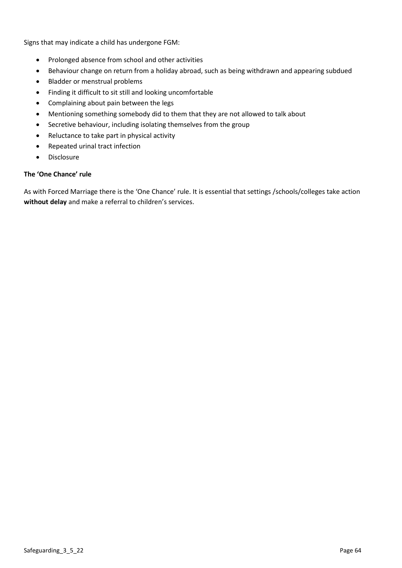Signs that may indicate a child has undergone FGM:

- Prolonged absence from school and other activities
- Behaviour change on return from a holiday abroad, such as being withdrawn and appearing subdued
- Bladder or menstrual problems
- Finding it difficult to sit still and looking uncomfortable
- Complaining about pain between the legs
- Mentioning something somebody did to them that they are not allowed to talk about
- Secretive behaviour, including isolating themselves from the group
- Reluctance to take part in physical activity
- Repeated urinal tract infection
- Disclosure

### **The 'One Chance' rule**

As with Forced Marriage there is the 'One Chance' rule. It is essential that settings /schools/colleges take action **without delay** and make a referral to children's services.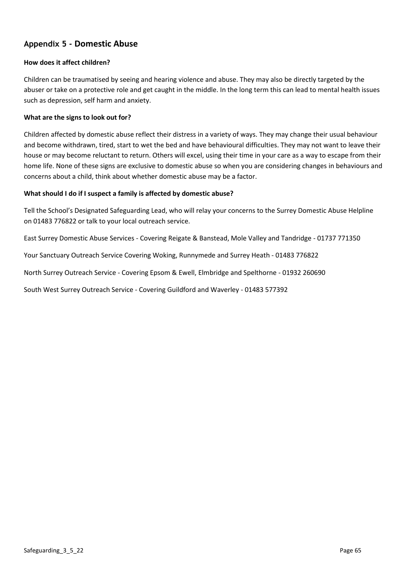# **Appendix 5 - Domestic Abuse**

### **How does it affect children?**

Children can be traumatised by seeing and hearing violence and abuse. They may also be directly targeted by the abuser or take on a protective role and get caught in the middle. In the long term this can lead to mental health issues such as depression, self harm and anxiety.

### **What are the signs to look out for?**

Children affected by domestic abuse reflect their distress in a variety of ways. They may change their usual behaviour and become withdrawn, tired, start to wet the bed and have behavioural difficulties. They may not want to leave their house or may become reluctant to return. Others will excel, using their time in your care as a way to escape from their home life. None of these signs are exclusive to domestic abuse so when you are considering changes in behaviours and concerns about a child, think about whether domestic abuse may be a factor.

### **What should I do if I suspect a family is affected by domestic abuse?**

Tell the School's Designated Safeguarding Lead, who will relay your concerns to the Surrey Domestic Abuse Helpline on 01483 776822 or talk to your local outreach service.

East Surrey Domestic Abuse Services - Covering Reigate & Banstead, Mole Valley and Tandridge - 01737 771350

Your Sanctuary Outreach Service Covering Woking, Runnymede and Surrey Heath - 01483 776822

North Surrey Outreach Service - Covering Epsom & Ewell, Elmbridge and Spelthorne - 01932 260690

South West Surrey Outreach Service - Covering Guildford and Waverley - 01483 577392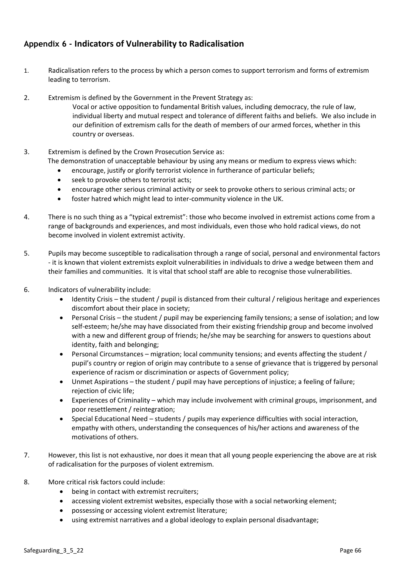# **Appendix 6 - Indicators of Vulnerability to Radicalisation**

- 1. Radicalisation refers to the process by which a person comes to support terrorism and forms of extremism leading to terrorism.
- 2. Extremism is defined by the Government in the Prevent Strategy as:
	- Vocal or active opposition to fundamental British values, including democracy, the rule of law, individual liberty and mutual respect and tolerance of different faiths and beliefs. We also include in our definition of extremism calls for the death of members of our armed forces, whether in this country or overseas.
- 3. Extremism is defined by the Crown Prosecution Service as: The demonstration of unacceptable behaviour by using any means or medium to express views which:
	- encourage, justify or glorify terrorist violence in furtherance of particular beliefs;
	- seek to provoke others to terrorist acts;
	- encourage other serious criminal activity or seek to provoke others to serious criminal acts; or
	- foster hatred which might lead to inter-community violence in the UK.
- 4. There is no such thing as a "typical extremist": those who become involved in extremist actions come from a range of backgrounds and experiences, and most individuals, even those who hold radical views, do not become involved in violent extremist activity.
- 5. Pupils may become susceptible to radicalisation through a range of social, personal and environmental factors - it is known that violent extremists exploit vulnerabilities in individuals to drive a wedge between them and their families and communities. It is vital that school staff are able to recognise those vulnerabilities.
- 6. Indicators of vulnerability include:
	- Identity Crisis the student / pupil is distanced from their cultural / religious heritage and experiences discomfort about their place in society;
	- Personal Crisis the student / pupil may be experiencing family tensions; a sense of isolation; and low self-esteem; he/she may have dissociated from their existing friendship group and become involved with a new and different group of friends; he/she may be searching for answers to questions about identity, faith and belonging;
	- Personal Circumstances migration; local community tensions; and events affecting the student / pupil's country or region of origin may contribute to a sense of grievance that is triggered by personal experience of racism or discrimination or aspects of Government policy;
	- Unmet Aspirations the student / pupil may have perceptions of injustice; a feeling of failure; rejection of civic life;
	- Experiences of Criminality which may include involvement with criminal groups, imprisonment, and poor resettlement / reintegration;
	- Special Educational Need students / pupils may experience difficulties with social interaction, empathy with others, understanding the consequences of his/her actions and awareness of the motivations of others.
- 7. However, this list is not exhaustive, nor does it mean that all young people experiencing the above are at risk of radicalisation for the purposes of violent extremism.
- 8. More critical risk factors could include:
	- being in contact with extremist recruiters;
	- accessing violent extremist websites, especially those with a social networking element;
	- possessing or accessing violent extremist literature;
	- using extremist narratives and a global ideology to explain personal disadvantage;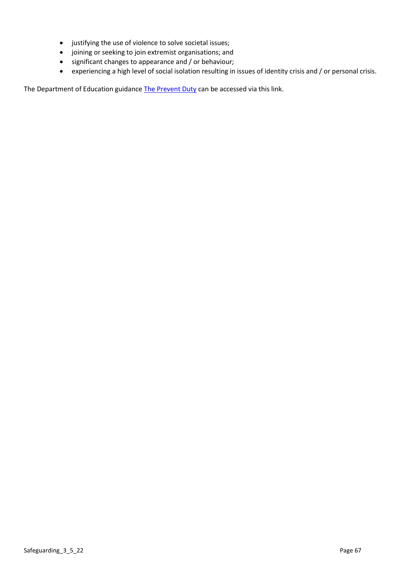- justifying the use of violence to solve societal issues;
- joining or seeking to join extremist organisations; and
- significant changes to appearance and / or behaviour;
- experiencing a high level of social isolation resulting in issues of identity crisis and / or personal crisis.

The Department of Education guidance [The Prevent Duty](https://www.gov.uk/government/uploads/system/uploads/attachment_data/file/439598/prevent-duty-departmental-advice-v6.pdf) can be accessed via this link.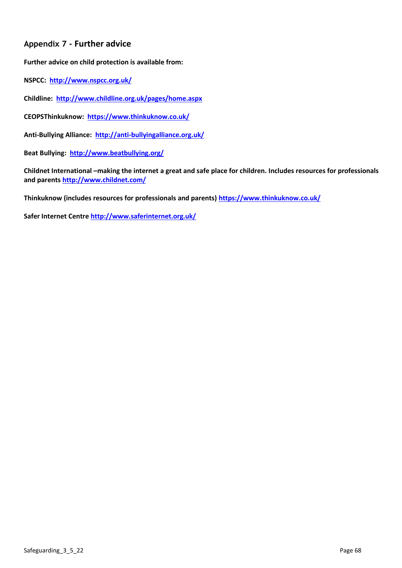# **Appendix 7 - Further advice**

**Further advice on child protection is available from:**

**NSPCC: <http://www.nspcc.org.uk/>**

**Childline: <http://www.childline.org.uk/pages/home.aspx>**

**CEOPSThinkuknow:<https://www.thinkuknow.co.uk/>**

**Anti-Bullying Alliance: <http://anti-bullyingalliance.org.uk/>**

**Beat Bullying: <http://www.beatbullying.org/>**

**Childnet International –making the internet a great and safe place for children. Includes resources for professionals and parents<http://www.childnet.com/>**

**Thinkuknow (includes resources for professionals and parents)<https://www.thinkuknow.co.uk/>**

**Safer Internet Centre<http://www.saferinternet.org.uk/>**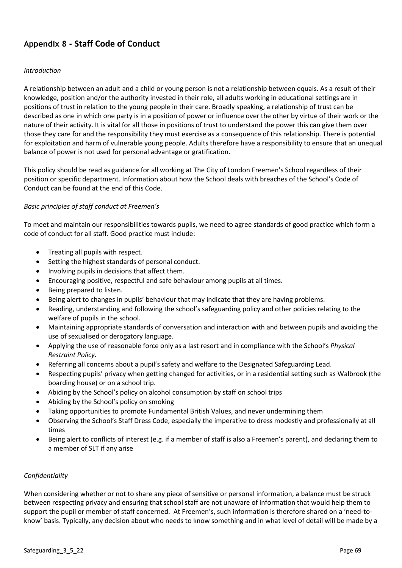# **Appendix 8 - Staff Code of Conduct**

### *Introduction*

A relationship between an adult and a child or young person is not a relationship between equals. As a result of their knowledge, position and/or the authority invested in their role, all adults working in educational settings are in positions of trust in relation to the young people in their care. Broadly speaking, a relationship of trust can be described as one in which one party is in a position of power or influence over the other by virtue of their work or the nature of their activity. It is vital for all those in positions of trust to understand the power this can give them over those they care for and the responsibility they must exercise as a consequence of this relationship. There is potential for exploitation and harm of vulnerable young people. Adults therefore have a responsibility to ensure that an unequal balance of power is not used for personal advantage or gratification.

This policy should be read as guidance for all working at The City of London Freemen's School regardless of their position or specific department. Information about how the School deals with breaches of the School's Code of Conduct can be found at the end of this Code.

### *Basic principles of staff conduct at Freemen's*

To meet and maintain our responsibilities towards pupils, we need to agree standards of good practice which form a code of conduct for all staff. Good practice must include:

- Treating all pupils with respect.
- Setting the highest standards of personal conduct.
- Involving pupils in decisions that affect them.
- Encouraging positive, respectful and safe behaviour among pupils at all times.
- Being prepared to listen.
- Being alert to changes in pupils' behaviour that may indicate that they are having problems.
- Reading, understanding and following the school's safeguarding policy and other policies relating to the welfare of pupils in the school.
- Maintaining appropriate standards of conversation and interaction with and between pupils and avoiding the use of sexualised or derogatory language.
- Applying the use of reasonable force only as a last resort and in compliance with the School's *Physical Restraint Policy*.
- Referring all concerns about a pupil's safety and welfare to the Designated Safeguarding Lead.
- Respecting pupils' privacy when getting changed for activities, or in a residential setting such as Walbrook (the boarding house) or on a school trip.
- Abiding by the School's policy on alcohol consumption by staff on school trips
- Abiding by the School's policy on smoking
- Taking opportunities to promote Fundamental British Values, and never undermining them
- Observing the School's Staff Dress Code, especially the imperative to dress modestly and professionally at all times
- Being alert to conflicts of interest (e.g. if a member of staff is also a Freemen's parent), and declaring them to a member of SLT if any arise

### *Confidentiality*

When considering whether or not to share any piece of sensitive or personal information, a balance must be struck between respecting privacy and ensuring that school staff are not unaware of information that would help them to support the pupil or member of staff concerned. At Freemen's, such information is therefore shared on a 'need-toknow' basis. Typically, any decision about who needs to know something and in what level of detail will be made by a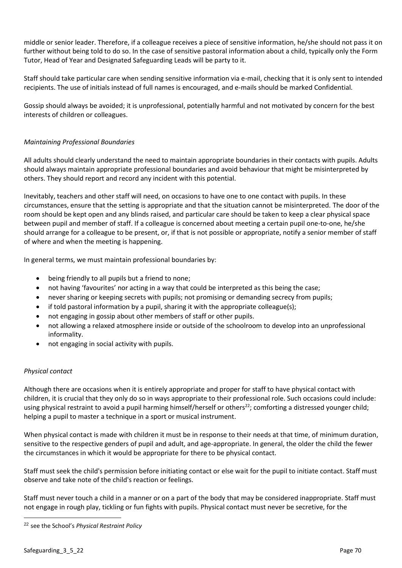middle or senior leader. Therefore, if a colleague receives a piece of sensitive information, he/she should not pass it on further without being told to do so. In the case of sensitive pastoral information about a child, typically only the Form Tutor, Head of Year and Designated Safeguarding Leads will be party to it.

Staff should take particular care when sending sensitive information via e-mail, checking that it is only sent to intended recipients. The use of initials instead of full names is encouraged, and e-mails should be marked Confidential.

Gossip should always be avoided; it is unprofessional, potentially harmful and not motivated by concern for the best interests of children or colleagues.

## *Maintaining Professional Boundaries*

All adults should clearly understand the need to maintain appropriate boundaries in their contacts with pupils. Adults should always maintain appropriate professional boundaries and avoid behaviour that might be misinterpreted by others. They should report and record any incident with this potential.

Inevitably, teachers and other staff will need, on occasions to have one to one contact with pupils. In these circumstances, ensure that the setting is appropriate and that the situation cannot be misinterpreted. The door of the room should be kept open and any blinds raised, and particular care should be taken to keep a clear physical space between pupil and member of staff. If a colleague is concerned about meeting a certain pupil one-to-one, he/she should arrange for a colleague to be present, or, if that is not possible or appropriate, notify a senior member of staff of where and when the meeting is happening.

In general terms, we must maintain professional boundaries by:

- being friendly to all pupils but a friend to none;
- not having 'favourites' nor acting in a way that could be interpreted as this being the case;
- never sharing or keeping secrets with pupils; not promising or demanding secrecy from pupils;
- if told pastoral information by a pupil, sharing it with the appropriate colleague(s);
- not engaging in gossip about other members of staff or other pupils.
- not allowing a relaxed atmosphere inside or outside of the schoolroom to develop into an unprofessional informality.
- not engaging in social activity with pupils.

## *Physical contact*

Although there are occasions when it is entirely appropriate and proper for staff to have physical contact with children, it is crucial that they only do so in ways appropriate to their professional role. Such occasions could include: using physical restraint to avoid a pupil harming himself/herself or others<sup>22</sup>; comforting a distressed younger child; helping a pupil to master a technique in a sport or musical instrument.

When physical contact is made with children it must be in response to their needs at that time, of minimum duration, sensitive to the respective genders of pupil and adult, and age-appropriate. In general, the older the child the fewer the circumstances in which it would be appropriate for there to be physical contact.

Staff must seek the child's permission before initiating contact or else wait for the pupil to initiate contact. Staff must observe and take note of the child's reaction or feelings.

Staff must never touch a child in a manner or on a part of the body that may be considered inappropriate. Staff must not engage in rough play, tickling or fun fights with pupils. Physical contact must never be secretive, for the

<sup>22</sup> see the School's *Physical Restraint Policy*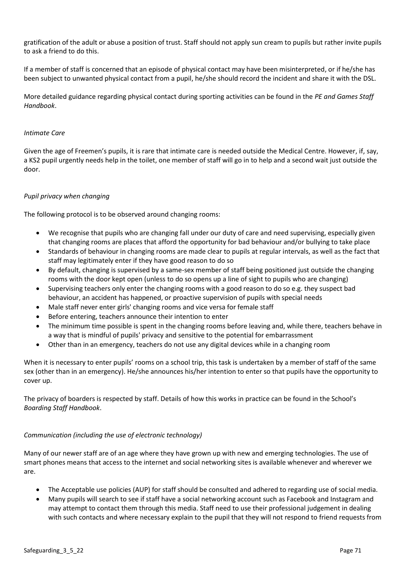gratification of the adult or abuse a position of trust. Staff should not apply sun cream to pupils but rather invite pupils to ask a friend to do this.

If a member of staff is concerned that an episode of physical contact may have been misinterpreted, or if he/she has been subject to unwanted physical contact from a pupil, he/she should record the incident and share it with the DSL.

More detailed guidance regarding physical contact during sporting activities can be found in the *PE and Games Staff Handbook*.

### *Intimate Care*

Given the age of Freemen's pupils, it is rare that intimate care is needed outside the Medical Centre. However, if, say, a KS2 pupil urgently needs help in the toilet, one member of staff will go in to help and a second wait just outside the door.

### *Pupil privacy when changing*

The following protocol is to be observed around changing rooms:

- We recognise that pupils who are changing fall under our duty of care and need supervising, especially given that changing rooms are places that afford the opportunity for bad behaviour and/or bullying to take place
- Standards of behaviour in changing rooms are made clear to pupils at regular intervals, as well as the fact that staff may legitimately enter if they have good reason to do so
- By default, changing is supervised by a same-sex member of staff being positioned just outside the changing rooms with the door kept open (unless to do so opens up a line of sight to pupils who are changing)
- Supervising teachers only enter the changing rooms with a good reason to do so e.g. they suspect bad behaviour, an accident has happened, or proactive supervision of pupils with special needs
- Male staff never enter girls' changing rooms and vice versa for female staff
- Before entering, teachers announce their intention to enter
- The minimum time possible is spent in the changing rooms before leaving and, while there, teachers behave in a way that is mindful of pupils' privacy and sensitive to the potential for embarrassment
- Other than in an emergency, teachers do not use any digital devices while in a changing room

When it is necessary to enter pupils' rooms on a school trip, this task is undertaken by a member of staff of the same sex (other than in an emergency). He/she announces his/her intention to enter so that pupils have the opportunity to cover up.

The privacy of boarders is respected by staff. Details of how this works in practice can be found in the School's *Boarding Staff Handbook*.

### *Communication (including the use of electronic technology)*

Many of our newer staff are of an age where they have grown up with new and emerging technologies. The use of smart phones means that access to the internet and social networking sites is available whenever and wherever we are.

- The Acceptable use policies (AUP) for staff should be consulted and adhered to regarding use of social media.
- Many pupils will search to see if staff have a social networking account such as Facebook and Instagram and may attempt to contact them through this media. Staff need to use their professional judgement in dealing with such contacts and where necessary explain to the pupil that they will not respond to friend requests from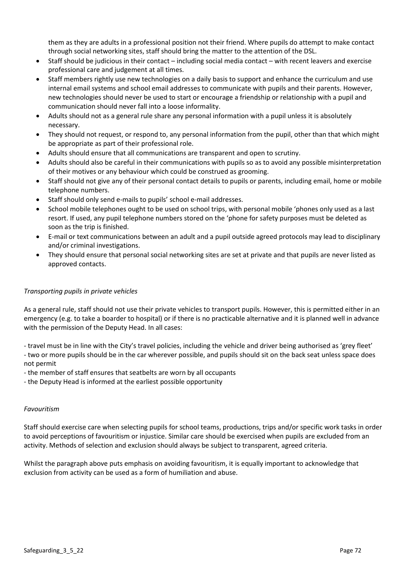them as they are adults in a professional position not their friend. Where pupils do attempt to make contact through social networking sites, staff should bring the matter to the attention of the DSL.

- Staff should be judicious in their contact including social media contact with recent leavers and exercise professional care and judgement at all times.
- Staff members rightly use new technologies on a daily basis to support and enhance the curriculum and use internal email systems and school email addresses to communicate with pupils and their parents. However, new technologies should never be used to start or encourage a friendship or relationship with a pupil and communication should never fall into a loose informality.
- Adults should not as a general rule share any personal information with a pupil unless it is absolutely necessary.
- They should not request, or respond to, any personal information from the pupil, other than that which might be appropriate as part of their professional role.
- Adults should ensure that all communications are transparent and open to scrutiny.
- Adults should also be careful in their communications with pupils so as to avoid any possible misinterpretation of their motives or any behaviour which could be construed as grooming.
- Staff should not give any of their personal contact details to pupils or parents, including email, home or mobile telephone numbers.
- Staff should only send e-mails to pupils' school e-mail addresses.
- School mobile telephones ought to be used on school trips, with personal mobile 'phones only used as a last resort. If used, any pupil telephone numbers stored on the 'phone for safety purposes must be deleted as soon as the trip is finished.
- E-mail or text communications between an adult and a pupil outside agreed protocols may lead to disciplinary and/or criminal investigations.
- They should ensure that personal social networking sites are set at private and that pupils are never listed as approved contacts.

## *Transporting pupils in private vehicles*

As a general rule, staff should not use their private vehicles to transport pupils. However, this is permitted either in an emergency (e.g. to take a boarder to hospital) or if there is no practicable alternative and it is planned well in advance with the permission of the Deputy Head. In all cases:

- travel must be in line with the City's travel policies, including the vehicle and driver being authorised as 'grey fleet'

- two or more pupils should be in the car wherever possible, and pupils should sit on the back seat unless space does not permit
- the member of staff ensures that seatbelts are worn by all occupants
- the Deputy Head is informed at the earliest possible opportunity

## *Favouritism*

Staff should exercise care when selecting pupils for school teams, productions, trips and/or specific work tasks in order to avoid perceptions of favouritism or injustice. Similar care should be exercised when pupils are excluded from an activity. Methods of selection and exclusion should always be subject to transparent, agreed criteria.

Whilst the paragraph above puts emphasis on avoiding favouritism, it is equally important to acknowledge that exclusion from activity can be used as a form of humiliation and abuse.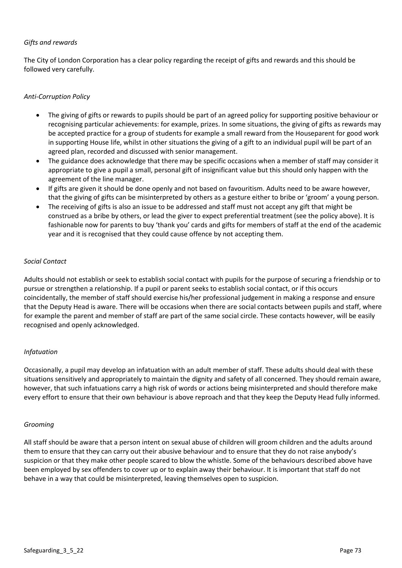# *Gifts and rewards*

The City of London Corporation has a clear policy regarding the receipt of gifts and rewards and this should be followed very carefully.

### *Anti-Corruption Policy*

- The giving of gifts or rewards to pupils should be part of an agreed policy for supporting positive behaviour or recognising particular achievements: for example, prizes. In some situations, the giving of gifts as rewards may be accepted practice for a group of students for example a small reward from the Houseparent for good work in supporting House life, whilst in other situations the giving of a gift to an individual pupil will be part of an agreed plan, recorded and discussed with senior management.
- The guidance does acknowledge that there may be specific occasions when a member of staff may consider it appropriate to give a pupil a small, personal gift of insignificant value but this should only happen with the agreement of the line manager.
- If gifts are given it should be done openly and not based on favouritism. Adults need to be aware however, that the giving of gifts can be misinterpreted by others as a gesture either to bribe or 'groom' a young person.
- The receiving of gifts is also an issue to be addressed and staff must not accept any gift that might be construed as a bribe by others, or lead the giver to expect preferential treatment (see the policy above). It is fashionable now for parents to buy 'thank you' cards and gifts for members of staff at the end of the academic year and it is recognised that they could cause offence by not accepting them.

#### *Social Contact*

Adults should not establish or seek to establish social contact with pupils for the purpose of securing a friendship or to pursue or strengthen a relationship. If a pupil or parent seeks to establish social contact, or if this occurs coincidentally, the member of staff should exercise his/her professional judgement in making a response and ensure that the Deputy Head is aware. There will be occasions when there are social contacts between pupils and staff, where for example the parent and member of staff are part of the same social circle. These contacts however, will be easily recognised and openly acknowledged.

#### *Infatuation*

Occasionally, a pupil may develop an infatuation with an adult member of staff. These adults should deal with these situations sensitively and appropriately to maintain the dignity and safety of all concerned. They should remain aware, however, that such infatuations carry a high risk of words or actions being misinterpreted and should therefore make every effort to ensure that their own behaviour is above reproach and that they keep the Deputy Head fully informed.

#### *Grooming*

All staff should be aware that a person intent on sexual abuse of children will groom children and the adults around them to ensure that they can carry out their abusive behaviour and to ensure that they do not raise anybody's suspicion or that they make other people scared to blow the whistle. Some of the behaviours described above have been employed by sex offenders to cover up or to explain away their behaviour. It is important that staff do not behave in a way that could be misinterpreted, leaving themselves open to suspicion.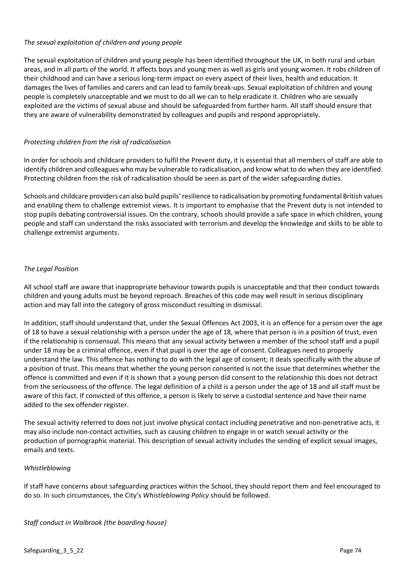## *The sexual exploitation of children and young people*

The sexual exploitation of children and young people has been identified throughout the UK, in both rural and urban areas, and in all parts of the world. It affects boys and young men as well as girls and young women. It robs children of their childhood and can have a serious long-term impact on every aspect of their lives, health and education. It damages the lives of families and carers and can lead to family break-ups. Sexual exploitation of children and young people is completely unacceptable and we must to do all we can to help eradicate it. Children who are sexually exploited are the victims of sexual abuse and should be safeguarded from further harm. All staff should ensure that they are aware of vulnerability demonstrated by colleagues and pupils and respond appropriately.

# *Protecting children from the risk of radicalisation*

In order for schools and childcare providers to fulfil the Prevent duty, it is essential that all members of staff are able to identify children and colleagues who may be vulnerable to radicalisation, and know what to do when they are identified. Protecting children from the risk of radicalisation should be seen as part of the wider safeguarding duties.

Schools and childcare providers can also build pupils' resilience to radicalisation by promoting fundamental British values and enabling them to challenge extremist views. It is important to emphasise that the Prevent duty is not intended to stop pupils debating controversial issues. On the contrary, schools should provide a safe space in which children, young people and staff can understand the risks associated with terrorism and develop the knowledge and skills to be able to challenge extremist arguments.

## *The Legal Position*

All school staff are aware that inappropriate behaviour towards pupils is unacceptable and that their conduct towards children and young adults must be beyond reproach. Breaches of this code may well result in serious disciplinary action and may fall into the category of gross misconduct resulting in dismissal.

In addition, staff should understand that, under the Sexual Offences Act 2003, it is an offence for a person over the age of 18 to have a sexual relationship with a person under the age of 18, where that person is in a position of trust, even if the relationship is consensual. This means that any sexual activity between a member of the school staff and a pupil under 18 may be a criminal offence, even if that pupil is over the age of consent. Colleagues need to properly understand the law. This offence has nothing to do with the legal age of consent; it deals specifically with the abuse of a position of trust. This means that whether the young person consented is not the issue that determines whether the offence is committed and even if it is shown that a young person did consent to the relationship this does not detract from the seriousness of the offence. The legal definition of a child is a person under the age of 18 and all staff must be aware of this fact. If convicted of this offence, a person is likely to serve a custodial sentence and have their name added to the sex offender register.

The sexual activity referred to does not just involve physical contact including penetrative and non-penetrative acts, it may also include non-contact activities, such as causing children to engage in or watch sexual activity or the production of pornographic material. This description of sexual activity includes the sending of explicit sexual images, emails and texts.

#### *Whistleblowing*

If staff have concerns about safeguarding practices within the School, they should report them and feel encouraged to do so. In such circumstances, the City's *Whistleblowing Policy* should be followed.

#### *Staff conduct in Walbrook (the boarding house)*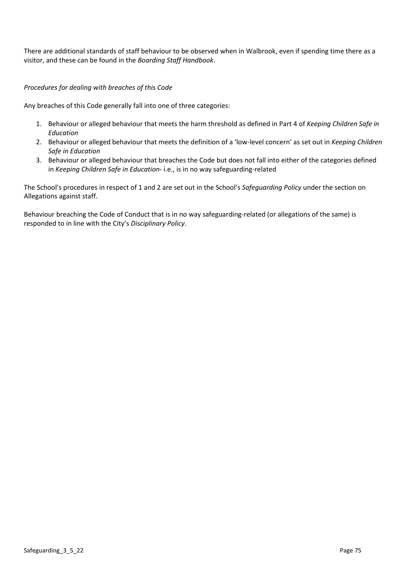There are additional standards of staff behaviour to be observed when in Walbrook, even if spending time there as a visitor, and these can be found in the *Boarding Staff Handbook*.

# *Procedures for dealing with breaches of this Code*

Any breaches of this Code generally fall into one of three categories:

- 1. Behaviour or alleged behaviour that meets the harm threshold as defined in Part 4 of *Keeping Children Safe in Education*
- 2. Behaviour or alleged behaviour that meets the definition of a 'low-level concern' as set out in *Keeping Children Safe in Education*
- 3. Behaviour or alleged behaviour that breaches the Code but does not fall into either of the categories defined in *Keeping Children Safe in Education*- i.e., is in no way safeguarding-related

The School's procedures in respect of 1 and 2 are set out in the School's *Safeguarding Policy* under the section on Allegations against staff.

Behaviour breaching the Code of Conduct that is in no way safeguarding-related (or allegations of the same) is responded to in line with the City's *Disciplinary Policy*.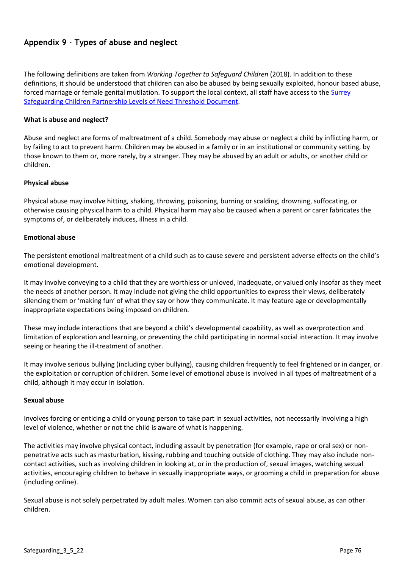# **Appendix 9** - **Types of abuse and neglect**

The following definitions are taken from *Working Together to Safeguard Children* (2018). In addition to these definitions, it should be understood that children can also be abused by being sexually exploited, honour based abuse, forced marriage or female genital mutilation. To support the local context, all staff have access to the [Surrey](https://www.surreyscp.org.uk/wp-content/uploads/2021/02/Effective-family-resilience-SSCP-Dec-2020-v7.pdf)  [Safeguarding Children Partnership Levels of Need Threshold Document.](https://www.surreyscp.org.uk/wp-content/uploads/2021/02/Effective-family-resilience-SSCP-Dec-2020-v7.pdf)

## **What is abuse and neglect?**

Abuse and neglect are forms of maltreatment of a child. Somebody may abuse or neglect a child by inflicting harm, or by failing to act to prevent harm. Children may be abused in a family or in an institutional or community setting, by those known to them or, more rarely, by a stranger. They may be abused by an adult or adults, or another child or children.

#### **Physical abuse**

Physical abuse may involve hitting, shaking, throwing, poisoning, burning or scalding, drowning, suffocating, or otherwise causing physical harm to a child. Physical harm may also be caused when a parent or carer fabricates the symptoms of, or deliberately induces, illness in a child.

#### **Emotional abuse**

The persistent emotional maltreatment of a child such as to cause severe and persistent adverse effects on the child's emotional development.

It may involve conveying to a child that they are worthless or unloved, inadequate, or valued only insofar as they meet the needs of another person. It may include not giving the child opportunities to express their views, deliberately silencing them or 'making fun' of what they say or how they communicate. It may feature age or developmentally inappropriate expectations being imposed on children.

These may include interactions that are beyond a child's developmental capability, as well as overprotection and limitation of exploration and learning, or preventing the child participating in normal social interaction. It may involve seeing or hearing the ill-treatment of another.

It may involve serious bullying (including cyber bullying), causing children frequently to feel frightened or in danger, or the exploitation or corruption of children. Some level of emotional abuse is involved in all types of maltreatment of a child, although it may occur in isolation.

#### **Sexual abuse**

Involves forcing or enticing a child or young person to take part in sexual activities, not necessarily involving a high level of violence, whether or not the child is aware of what is happening.

The activities may involve physical contact, including assault by penetration (for example, rape or oral sex) or nonpenetrative acts such as masturbation, kissing, rubbing and touching outside of clothing. They may also include noncontact activities, such as involving children in looking at, or in the production of, sexual images, watching sexual activities, encouraging children to behave in sexually inappropriate ways, or grooming a child in preparation for abuse (including online).

Sexual abuse is not solely perpetrated by adult males. Women can also commit acts of sexual abuse, as can other children.